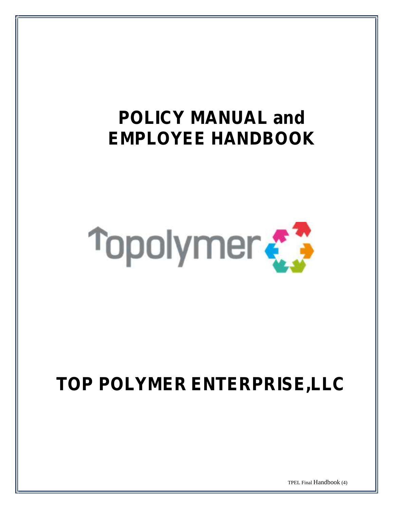## **POLICY MANUAL and EMPLOYEE HANDBOOK**



# **TOP POLYMER ENTERPRISE,LLC**

TPEL Final Handbook (4)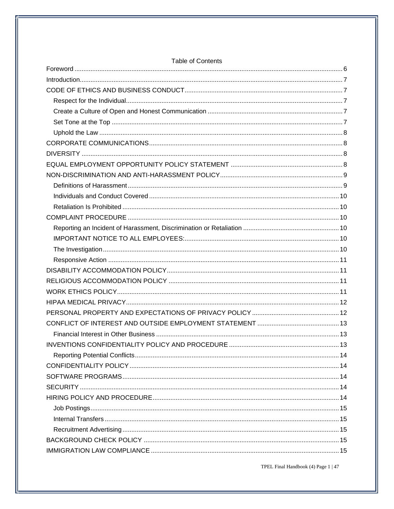### **Table of Contents**

TPEL Final Handbook (4) Page 1 | 47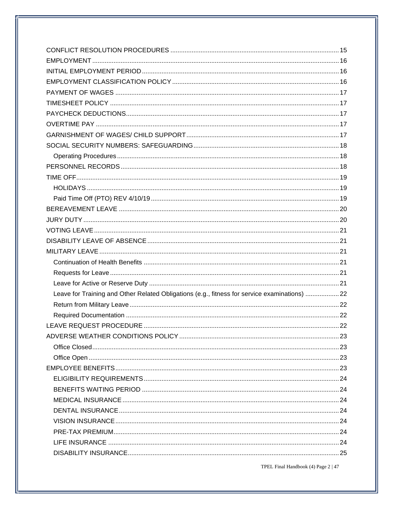| Leave for Training and Other Related Obligations (e.g., fitness for service examinations) 22 |  |
|----------------------------------------------------------------------------------------------|--|
|                                                                                              |  |
|                                                                                              |  |
|                                                                                              |  |
|                                                                                              |  |
|                                                                                              |  |
|                                                                                              |  |
|                                                                                              |  |
|                                                                                              |  |
|                                                                                              |  |
|                                                                                              |  |
|                                                                                              |  |
|                                                                                              |  |
|                                                                                              |  |
|                                                                                              |  |
|                                                                                              |  |

TPEL Final Handbook (4) Page 2 | 47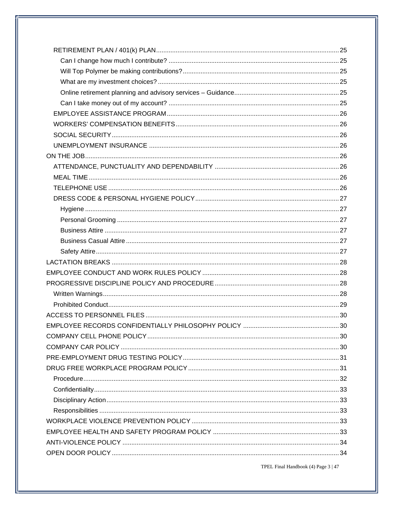TPEL Final Handbook (4) Page 3 | 47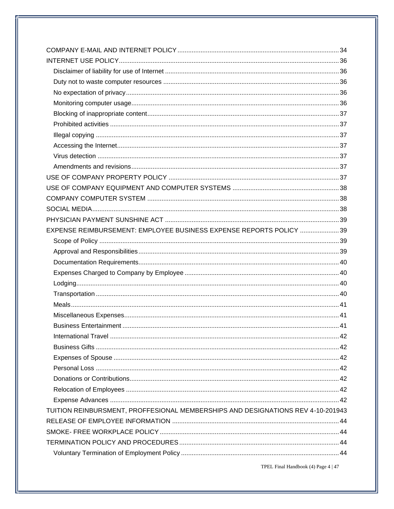| EXPENSE REIMBURSEMENT: EMPLOYEE BUSINESS EXPENSE REPORTS POLICY  39             |  |
|---------------------------------------------------------------------------------|--|
|                                                                                 |  |
|                                                                                 |  |
|                                                                                 |  |
|                                                                                 |  |
|                                                                                 |  |
|                                                                                 |  |
|                                                                                 |  |
|                                                                                 |  |
|                                                                                 |  |
|                                                                                 |  |
|                                                                                 |  |
|                                                                                 |  |
|                                                                                 |  |
|                                                                                 |  |
|                                                                                 |  |
|                                                                                 |  |
| TUITION REINBURSMENT, PROFFESIONAL MEMBERSHIPS AND DESIGNATIONS REV 4-10-201943 |  |
|                                                                                 |  |
|                                                                                 |  |
|                                                                                 |  |
|                                                                                 |  |
|                                                                                 |  |

TPEL Final Handbook (4) Page 4 | 47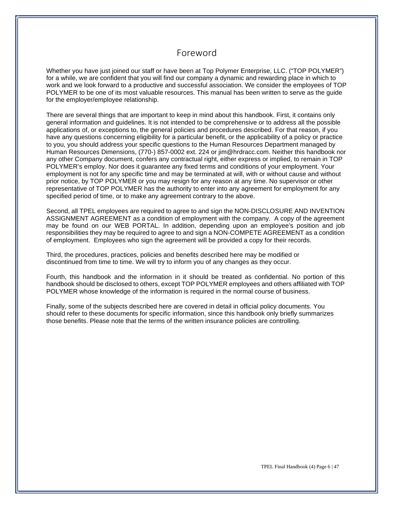### **Foreword**

Whether you have just joined our staff or have been at Top Polymer Enterprise, LLC. ("TOP POLYMER") for a while, we are confident that you will find our company a dynamic and rewarding place in which to work and we look forward to a productive and successful association. We consider the employees of TOP POLYMER to be one of its most valuable resources. This manual has been written to serve as the guide for the employer/employee relationship.

There are several things that are important to keep in mind about this handbook. First, it contains only general information and guidelines. It is not intended to be comprehensive or to address all the possible applications of, or exceptions to, the general policies and procedures described. For that reason, if you have any questions concerning eligibility for a particular benefit, or the applicability of a policy or practice to you, you should address your specific questions to the Human Resources Department managed by Human Resources Dimensions, (770-) 857-0002 ext. 224 or jim@hrdracc.com. Neither this handbook nor any other Company document, confers any contractual right, either express or implied, to remain in TOP POLYMER's employ. Nor does it guarantee any fixed terms and conditions of your employment. Your employment is not for any specific time and may be terminated at will, with or without cause and without prior notice, by TOP POLYMER or you may resign for any reason at any time. No supervisor or other representative of TOP POLYMER has the authority to enter into any agreement for employment for any specified period of time, or to make any agreement contrary to the above.

Second, all TPEL employees are required to agree to and sign the NON-DISCLOSURE AND INVENTION ASSIGNMENT AGREEMENT as a condition of employment with the company. A copy of the agreement may be found on our WEB PORTAL. In addition, depending upon an employee's position and job responsibilities they may be required to agree to and sign a NON-COMPETE AGREEMENT as a condition of employment. Employees who sign the agreement will be provided a copy for their records.

Third, the procedures, practices, policies and benefits described here may be modified or discontinued from time to time. We will try to inform you of any changes as they occur.

Fourth, this handbook and the information in it should be treated as confidential. No portion of this handbook should be disclosed to others, except TOP POLYMER employees and others affiliated with TOP POLYMER whose knowledge of the information is required in the normal course of business.

Finally, some of the subjects described here are covered in detail in official policy documents. You should refer to these documents for specific information, since this handbook only briefly summarizes those benefits. Please note that the terms of the written insurance policies are controlling.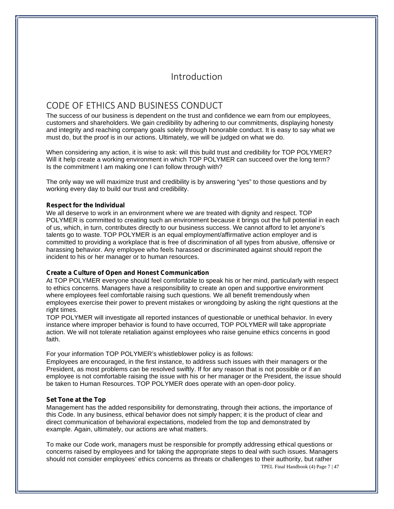### **Introduction**

### **CODE OF ETHICS AND BUSINESS CONDUCT**

The success of our business is dependent on the trust and confidence we earn from our employees, customers and shareholders. We gain credibility by adhering to our commitments, displaying honesty and integrity and reaching company goals solely through honorable conduct. It is easy to say what we must do, but the proof is in our actions. Ultimately, we will be judged on what we do.

When considering any action, it is wise to ask: will this build trust and credibility for TOP POLYMER? Will it help create a working environment in which TOP POLYMER can succeed over the long term? Is the commitment I am making one I can follow through with?

The only way we will maximize trust and credibility is by answering "yes" to those questions and by working every day to build our trust and credibility.

### **Respect for the Individual**

We all deserve to work in an environment where we are treated with dignity and respect. TOP POLYMER is committed to creating such an environment because it brings out the full potential in each of us, which, in turn, contributes directly to our business success. We cannot afford to let anyone's talents go to waste. TOP POLYMER is an equal employment/affirmative action employer and is committed to providing a workplace that is free of discrimination of all types from abusive, offensive or harassing behavior. Any employee who feels harassed or discriminated against should report the incident to his or her manager or to human resources.

### **Create a Culture of Open and Honest Communication**

At TOP POLYMER everyone should feel comfortable to speak his or her mind, particularly with respect to ethics concerns. Managers have a responsibility to create an open and supportive environment where employees feel comfortable raising such questions. We all benefit tremendously when employees exercise their power to prevent mistakes or wrongdoing by asking the right questions at the right times.

TOP POLYMER will investigate all reported instances of questionable or unethical behavior. In every instance where improper behavior is found to have occurred, TOP POLYMER will take appropriate action. We will not tolerate retaliation against employees who raise genuine ethics concerns in good faith.

For your information TOP POLYMER's whistleblower policy is as follows:

Employees are encouraged, in the first instance, to address such issues with their managers or the President, as most problems can be resolved swiftly. If for any reason that is not possible or if an employee is not comfortable raising the issue with his or her manager or the President, the issue should be taken to Human Resources. TOP POLYMER does operate with an open-door policy.

### **Set Tone at the Top**

Management has the added responsibility for demonstrating, through their actions, the importance of this Code. In any business, ethical behavior does not simply happen; it is the product of clear and direct communication of behavioral expectations, modeled from the top and demonstrated by example. Again, ultimately, our actions are what matters.

To make our Code work, managers must be responsible for promptly addressing ethical questions or concerns raised by employees and for taking the appropriate steps to deal with such issues. Managers should not consider employees' ethics concerns as threats or challenges to their authority, but rather

TPEL Final Handbook (4) Page 7 | 47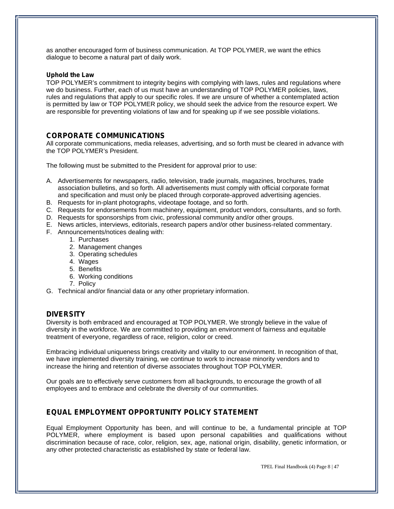as another encouraged form of business communication. At TOP POLYMER, we want the ethics dialogue to become a natural part of daily work.

### **Uphold the Law**

TOP POLYMER's commitment to integrity begins with complying with laws, rules and regulations where we do business. Further, each of us must have an understanding of TOP POLYMER policies, laws, rules and regulations that apply to our specific roles. If we are unsure of whether a contemplated action is permitted by law or TOP POLYMER policy, we should seek the advice from the resource expert. We are responsible for preventing violations of law and for speaking up if we see possible violations.

### **CORPORATE COMMUNICATIONS**

All corporate communications, media releases, advertising, and so forth must be cleared in advance with the TOP POLYMER's President.

The following must be submitted to the President for approval prior to use:

- A. Advertisements for newspapers, radio, television, trade journals, magazines, brochures, trade association bulletins, and so forth. All advertisements must comply with official corporate format and specification and must only be placed through corporate-approved advertising agencies.
- B. Requests for in-plant photographs, videotape footage, and so forth.
- C. Requests for endorsements from machinery, equipment, product vendors, consultants, and so forth.
- D. Requests for sponsorships from civic, professional community and/or other groups.
- E. News articles, interviews, editorials, research papers and/or other business-related commentary.
- F. Announcements/notices dealing with:
	- 1. Purchases
	- 2. Management changes
	- 3. Operating schedules
	- 4. Wages
	- 5. Benefits
	- 6. Working conditions
	- 7. Policy
- G. Technical and/or financial data or any other proprietary information.

### **DIVERSITY**

Diversity is both embraced and encouraged at TOP POLYMER. We strongly believe in the value of diversity in the workforce. We are committed to providing an environment of fairness and equitable treatment of everyone, regardless of race, religion, color or creed.

Embracing individual uniqueness brings creativity and vitality to our environment. In recognition of that, we have implemented diversity training, we continue to work to increase minority vendors and to increase the hiring and retention of diverse associates throughout TOP POLYMER.

Our goals are to effectively serve customers from all backgrounds, to encourage the growth of all employees and to embrace and celebrate the diversity of our communities.

### **EQUAL EMPLOYMENT OPPORTUNITY POLICY STATEMENT**

Equal Employment Opportunity has been, and will continue to be, a fundamental principle at TOP POLYMER, where employment is based upon personal capabilities and qualifications without discrimination because of race, color, religion, sex, age, national origin, disability, genetic information, or any other protected characteristic as established by state or federal law.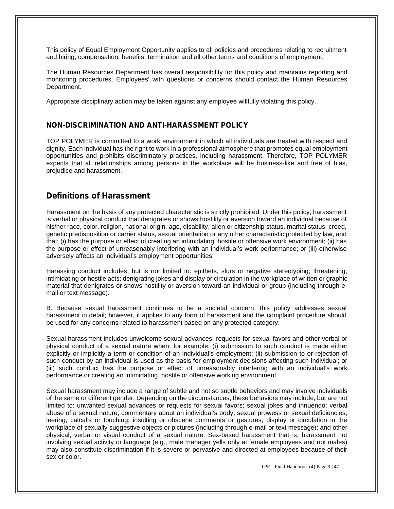This policy of Equal Employment Opportunity applies to all policies and procedures relating to recruitment and hiring, compensation, benefits, termination and all other terms and conditions of employment.

The Human Resources Department has overall responsibility for this policy and maintains reporting and monitoring procedures. Employees' with questions or concerns should contact the Human Resources Department.

Appropriate disciplinary action may be taken against any employee willfully violating this policy.

### **NON-DISCRIMINATION AND ANTI-HARASSMENT POLICY**

TOP POLYMER is committed to a work environment in which all individuals are treated with respect and dignity. Each individual has the right to work in a professional atmosphere that promotes equal employment opportunities and prohibits discriminatory practices, including harassment. Therefore, TOP POLYMER expects that all relationships among persons in the workplace will be business-like and free of bias, prejudice and harassment.

### **Definitions of Harassment**

Harassment on the basis of any protected characteristic is strictly prohibited. Under this policy, harassment is verbal or physical conduct that denigrates or shows hostility or aversion toward an individual because of his/her race, color, religion, national origin, age, disability, alien or citizenship status, marital status, creed, genetic predisposition or carrier status, sexual orientation or any other characteristic protected by law, and that: (i) has the purpose or effect of creating an intimidating, hostile or offensive work environment; (ii) has the purpose or effect of unreasonably interfering with an individual's work performance; or (iii) otherwise adversely affects an individual's employment opportunities.

Harassing conduct includes, but is not limited to: epithets, slurs or negative stereotyping; threatening, intimidating or hostile acts; denigrating jokes and display or circulation in the workplace of written or graphic material that denigrates or shows hostility or aversion toward an individual or group (including through e mail or text message).

B. Because sexual harassment continues to be a societal concern, this policy addresses sexual harassment in detail; however, it applies to any form of harassment and the complaint procedure should be used for any concerns related to harassment based on any protected category.

Sexual harassment includes unwelcome sexual advances, requests for sexual favors and other verbal or physical conduct of a sexual nature when, for example: (i) submission to such conduct is made either explicitly or implicitly a term or condition of an individual's employment; (ii) submission to or rejection of such conduct by an individual is used as the basis for employment decisions affecting such individual; or (iii) such conduct has the purpose or effect of unreasonably interfering with an individual's work performance or creating an intimidating, hostile or offensive working environment.

Sexual harassment may include a range of subtle and not so subtle behaviors and may involve individuals of the same or different gender. Depending on the circumstances, these behaviors may include, but are not limited to: unwanted sexual advances or requests for sexual favors; sexual jokes and innuendo; verbal abuse of a sexual nature; commentary about an individual's body, sexual prowess or sexual deficiencies; leering, catcalls or touching; insulting or obscene comments or gestures; display or circulation in the workplace of sexually suggestive objects or pictures (including through e-mail or text message); and other physical, verbal or visual conduct of a sexual nature. Sex-based harassment that is, harassment not involving sexual activity or language (e.g., male manager yells only at female employees and not males) may also constitute discrimination if it is severe or pervasive and directed at employees because of their sex or color.

TPEL Final Handbook (4) Page 9 | 47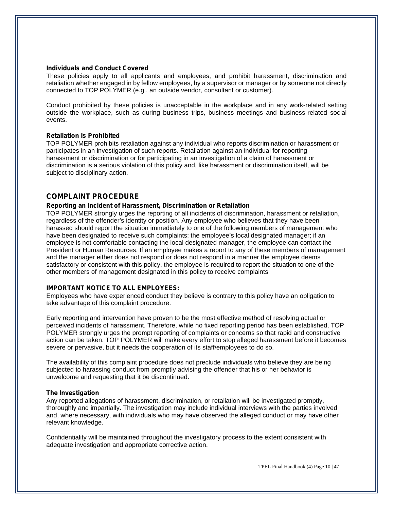#### **Individuals and Conduct Covered**

These policies apply to all applicants and employees, and prohibit harassment, discrimination and retaliation whether engaged in by fellow employees, by a supervisor or manager or by someone not directly connected to TOP POLYMER (e.g., an outside vendor, consultant or customer).

Conduct prohibited by these policies is unacceptable in the workplace and in any work-related setting outside the workplace, such as during business trips, business meetings and business-related social events.

#### **Retaliation Is Prohibited**

TOP POLYMER prohibits retaliation against any individual who reports discrimination or harassment or participates in an investigation of such reports. Retaliation against an individual for reporting harassment or discrimination or for participating in an investigation of a claim of harassment or discrimination is a serious violation of this policy and, like harassment or discrimination itself, will be subject to disciplinary action.

### **COMPLAINT PROCEDURE**

#### **Reporting an Incident of Harassment, Discrimination or Retaliation**

TOP POLYMER strongly urges the reporting of all incidents of discrimination, harassment or retaliation, regardless of the offender's identity or position. Any employee who believes that they have been harassed should report the situation immediately to one of the following members of management who have been designated to receive such complaints: the employee's local designated manager; if an employee is not comfortable contacting the local designated manager, the employee can contact the President or Human Resources. If an employee makes a report to any of these members of management and the manager either does not respond or does not respond in a manner the employee deems satisfactory or consistent with this policy, the employee is required to report the situation to one of the other members of management designated in this policy to receive complaints

### **IMPORTANT NOTICE TO ALL EMPLOYEES:**

Employees who have experienced conduct they believe is contrary to this policy have an obligation to take advantage of this complaint procedure.

Early reporting and intervention have proven to be the most effective method of resolving actual or perceived incidents of harassment. Therefore, while no fixed reporting period has been established, TOP POLYMER strongly urges the prompt reporting of complaints or concerns so that rapid and constructive action can be taken. TOP POLYMER will make every effort to stop alleged harassment before it becomes severe or pervasive, but it needs the cooperation of its staff/employees to do so.

The availability of this complaint procedure does not preclude individuals who believe they are being subjected to harassing conduct from promptly advising the offender that his or her behavior is unwelcome and requesting that it be discontinued.

#### **The Investigation**

Any reported allegations of harassment, discrimination, or retaliation will be investigated promptly, thoroughly and impartially. The investigation may include individual interviews with the parties involved and, where necessary, with individuals who may have observed the alleged conduct or may have other relevant knowledge.

Confidentiality will be maintained throughout the investigatory process to the extent consistent with adequate investigation and appropriate corrective action.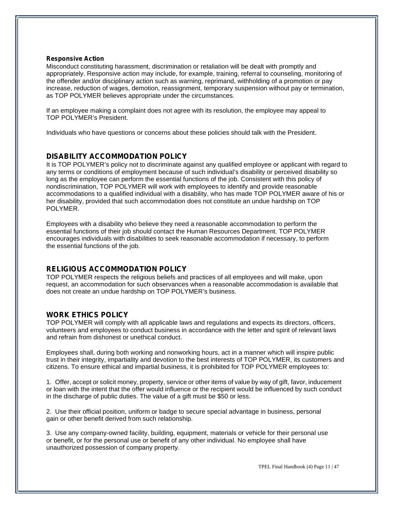#### **Responsive Action**

Misconduct constituting harassment, discrimination or retaliation will be dealt with promptly and appropriately. Responsive action may include, for example, training, referral to counseling, monitoring of the offender and/or disciplinary action such as warning, reprimand, withholding of a promotion or pay increase, reduction of wages, demotion, reassignment, temporary suspension without pay or termination, as TOP POLYMER believes appropriate under the circumstances.

If an employee making a complaint does not agree with its resolution, the employee may appeal to TOP POLYMER's President.

Individuals who have questions or concerns about these policies should talk with the President.

### **DISABILITY ACCOMMODATION POLICY**

It is TOP POLYMER's policy not to discriminate against any qualified employee or applicant with regard to any terms or conditions of employment because of such individual's disability or perceived disability so long as the employee can perform the essential functions of the job. Consistent with this policy of nondiscrimination, TOP POLYMER will work with employees to identify and provide reasonable accommodations to a qualified individual with a disability, who has made TOP POLYMER aware of his or her disability, provided that such accommodation does not constitute an undue hardship on TOP POLYMER.

Employees with a disability who believe they need a reasonable accommodation to perform the essential functions of their job should contact the Human Resources Department. TOP POLYMER encourages individuals with disabilities to seek reasonable accommodation if necessary, to perform the essential functions of the job.

### **RELIGIOUS ACCOMMODATION POLICY**

TOP POLYMER respects the religious beliefs and practices of all employees and will make, upon request, an accommodation for such observances when a reasonable accommodation is available that does not create an undue hardship on TOP POLYMER's business.

### **WORK ETHICS POLICY**

TOP POLYMER will comply with all applicable laws and regulations and expects its directors, officers, volunteers and employees to conduct business in accordance with the letter and spirit of relevant laws and refrain from dishonest or unethical conduct.

Employees shall, during both working and nonworking hours, act in a manner which will inspire public trust in their integrity, impartiality and devotion to the best interests of TOP POLYMER, its customers and citizens. To ensure ethical and impartial business, it is prohibited for TOP POLYMER employees to:

1. Offer, accept or solicit money, property, service or other items of value by way of gift, favor, inducement or loan with the intent that the offer would influence or the recipient would be influenced by such conduct in the discharge of public duties. The value of a gift must be \$50 or less.

2. Use their official position, uniform or badge to secure special advantage in business, personal gain or other benefit derived from such relationship.

3. Use any company-owned facility, building, equipment, materials or vehicle for their personal use or benefit, or for the personal use or benefit of any other individual. No employee shall have unauthorized possession of company property.

TPEL Final Handbook (4) Page 11 | 47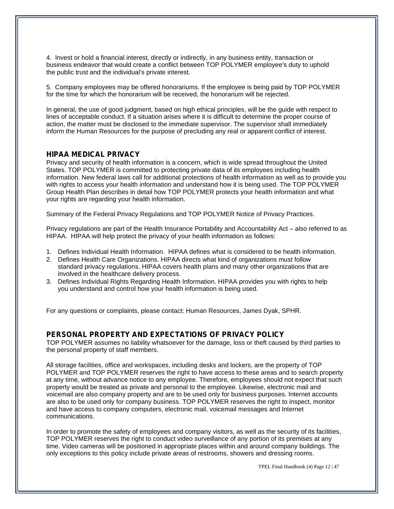4. Invest or hold a financial interest, directly or indirectly, in any business entity, transaction or business endeavor that would create a conflict between TOP POLYMER employee's duty to uphold the public trust and the individual's private interest.

5. Company employees may be offered honorariums. If the employee is being paid by TOP POLYMER for the time for which the honorarium will be received, the honorarium will be rejected.

In general, the use of good judgment, based on high ethical principles, will be the guide with respect to lines of acceptable conduct. If a situation arises where it is difficult to determine the proper course of action, the matter must be disclosed to the immediate supervisor. The supervisor shall immediately inform the Human Resources for the purpose of precluding any real or apparent conflict of interest.

### **HIPAA MEDICAL PRIVACY**

Privacy and security of health information is a concern, which is wide spread throughout the United States. TOP POLYMER is committed to protecting private data of its employees including health information. New federal laws call for additional protections of health information as well as to provide you with rights to access your health information and understand how it is being used. The TOP POLYMER Group Health Plan describes in detail how TOP POLYMER protects your health information and what your rights are regarding your health information.

Summary of the Federal Privacy Regulations and TOP POLYMER Notice of Privacy Practices.

Privacy regulations are part of the Health Insurance Portability and Accountability Act – also referred to as HIPAA. HIPAA will help protect the privacy of your health information as follows:

- 1. Defines Individual Health Information. HIPAA defines what is considered to be health information.
- 2. Defines Health Care Organizations. HIPAA directs what kind of organizations must follow standard privacy regulations. HIPAA covers health plans and many other organizations that are involved in the healthcare delivery process.
- 3. Defines Individual Rights Regarding Health Information. HIPAA provides you with rights to help you understand and control how your health information is being used.

For any questions or complaints, please contact: Human Resources, James Dyak, SPHR.

### **PERSONAL PROPERTY AND EXPECTATIONS OF PRIVACY POLICY**

TOP POLYMER assumes no liability whatsoever for the damage, loss or theft caused by third parties to the personal property of staff members.

All storage facilities, office and workspaces, including desks and lockers, are the property of TOP POLYMER and TOP POLYMER reserves the right to have access to these areas and to search property at any time, without advance notice to any employee. Therefore, employees should not expect that such property would be treated as private and personal to the employee. Likewise, electronic mail and voicemail are also company property and are to be used only for business purposes. Internet accounts are also to be used only for company business. TOP POLYMER reserves the right to inspect, monitor and have access to company computers, electronic mail, voicemail messages and Internet communications.

In order to promote the safety of employees and company visitors, as well as the security of its facilities, TOP POLYMER reserves the right to conduct video surveillance of any portion of its premises at any time. Video cameras will be positioned in appropriate places within and around company buildings. The only exceptions to this policy include private areas of restrooms, showers and dressing rooms.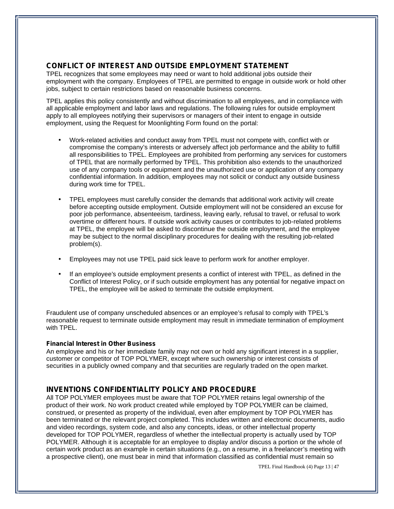### **CONFLICT OF INTEREST AND OUTSIDE EMPLOYMENT STATEMENT**

TPEL recognizes that some employees may need or want to hold additional jobs outside their employment with the company. Employees of TPEL are permitted to engage in outside work or hold other jobs, subject to certain restrictions based on reasonable business concerns.

TPEL applies this policy consistently and without discrimination to all employees, and in compliance with all applicable employment and labor laws and regulations. The following rules for outside employment apply to all employees notifying their supervisors or managers of their intent to engage in outside employment, using the Request for Moonlighting Form found on the portal:

- Work-related activities and conduct away from TPEL must not compete with, conflict with or compromise the company's interests or adversely affect job performance and the ability to fulfill all responsibilities to TPEL. Employees are prohibited from performing any services for customers of TPEL that are normally performed by TPEL. This prohibition also extends to the unauthorized use of any company tools or equipment and the unauthorized use or application of any company confidential information. In addition, employees may not solicit or conduct any outside business during work time for TPEL.
- TPEL employees must carefully consider the demands that additional work activity will create before accepting outside employment. Outside employment will not be considered an excuse for poor job performance, absenteeism, tardiness, leaving early, refusal to travel, or refusal to work overtime or different hours. If outside work activity causes or contributes to job-related problems at TPEL, the employee will be asked to discontinue the outside employment, and the employee may be subject to the normal disciplinary procedures for dealing with the resulting job-related problem(s).
- Employees may not use TPEL paid sick leave to perform work for another employer.
- If an employee's outside employment presents a conflict of interest with TPEL, as defined in the Conflict of Interest Policy, or if such outside employment has any potential for negative impact on TPEL, the employee will be asked to terminate the outside employment.

Fraudulent use of company unscheduled absences or an employee's refusal to comply with TPEL's reasonable request to terminate outside employment may result in immediate termination of employment with TPEL.

### **Financial Interest in Other Business**

An employee and his or her immediate family may not own or hold any significant interest in a supplier, customer or competitor of TOP POLYMER, except where such ownership or interest consists of securities in a publicly owned company and that securities are regularly traded on the open market.

### **INVENTIONS CONFIDENTIALITY POLICY AND PROCEDURE**

All TOP POLYMER employees must be aware that TOP POLYMER retains legal ownership of the product of their work. No work product created while employed by TOP POLYMER can be claimed, construed, or presented as property of the individual, even after employment by TOP POLYMER has been terminated or the relevant project completed. This includes written and electronic documents, audio and video recordings, system code, and also any concepts, ideas, or other intellectual property developed for TOP POLYMER, regardless of whether the intellectual property is actually used by TOP POLYMER. Although it is acceptable for an employee to display and/or discuss a portion or the whole of certain work product as an example in certain situations (e.g., on a resume, in a freelancer's meeting with a prospective client), one must bear in mind that information classified as confidential must remain so

TPEL Final Handbook (4) Page 13 | 47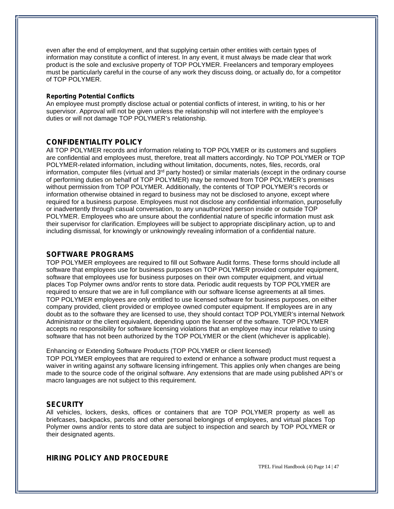even after the end of employment, and that supplying certain other entities with certain types of information may constitute a conflict of interest. In any event, it must always be made clear that work product is the sole and exclusive property of TOP POLYMER. Freelancers and temporary employees must be particularly careful in the course of any work they discuss doing, or actually do, for a competitor of TOP POLYMER.

### **Reporting Potential Conflicts**

An employee must promptly disclose actual or potential conflicts of interest, in writing, to his or her supervisor. Approval will not be given unless the relationship will not interfere with the employee's duties or will not damage TOP POLYMER's relationship.

### **CONFIDENTIALITY POLICY**

All TOP POLYMER records and information relating to TOP POLYMER or its customers and suppliers are confidential and employees must, therefore, treat all matters accordingly. No TOP POLYMER or TOP POLYMER-related information, including without limitation, documents, notes, files, records, oral information, computer files (virtual and 3<sup>rd</sup> party hosted) or similar materials (except in the ordinary course of performing duties on behalf of TOP POLYMER) may be removed from TOP POLYMER's premises without permission from TOP POLYMER. Additionally, the contents of TOP POLYMER's records or information otherwise obtained in regard to business may not be disclosed to anyone, except where required for a business purpose. Employees must not disclose any confidential information, purposefully or inadvertently through casual conversation, to any unauthorized person inside or outside TOP POLYMER. Employees who are unsure about the confidential nature of specific information must ask their supervisor for clarification. Employees will be subject to appropriate disciplinary action, up to and including dismissal, for knowingly or unknowingly revealing information of a confidential nature.

### **SOFTWARE PROGRAMS**

TOP POLYMER employees are required to fill out Software Audit forms. These forms should include all software that employees use for business purposes on TOP POLYMER provided computer equipment, software that employees use for business purposes on their own computer equipment, and virtual places Top Polymer owns and/or rents to store data. Periodic audit requests by TOP POLYMER are required to ensure that we are in full compliance with our software license agreements at all times. TOP POLYMER employees are only entitled to use licensed software for business purposes, on either company provided, client provided or employee owned computer equipment. If employees are in any doubt as to the software they are licensed to use, they should contact TOP POLYMER's internal Network Administrator or the client equivalent, depending upon the licenser of the software. TOP POLYMER accepts no responsibility for software licensing violations that an employee may incur relative to using software that has not been authorized by the TOP POLYMER or the client (whichever is applicable).

#### Enhancing or Extending Software Products (TOP POLYMER or client licensed)

TOP POLYMER employees that are required to extend or enhance a software product must request a waiver in writing against any software licensing infringement. This applies only when changes are being made to the source code of the original software. Any extensions that are made using published API's or macro languages are not subject to this requirement.

### **SECURITY**

All vehicles, lockers, desks, offices or containers that are TOP POLYMER property as well as briefcases, backpacks, parcels and other personal belongings of employees, and virtual places Top Polymer owns and/or rents to store data are subject to inspection and search by TOP POLYMER or their designated agents.

### **HIRING POLICY AND PROCEDURE**

TPEL Final Handbook (4) Page 14 | 47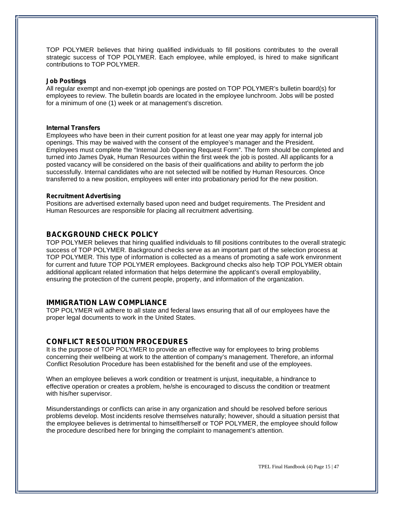TOP POLYMER believes that hiring qualified individuals to fill positions contributes to the overall strategic success of TOP POLYMER. Each employee, while employed, is hired to make significant contributions to TOP POLYMER.

#### **Job Postings**

All regular exempt and non-exempt job openings are posted on TOP POLYMER's bulletin board(s) for employees to review. The bulletin boards are located in the employee lunchroom. Jobs will be posted for a minimum of one (1) week or at management's discretion.

#### **Internal Transfers**

Employees who have been in their current position for at least one year may apply for internal job openings. This may be waived with the consent of the employee's manager and the President. Employees must complete the "Internal Job Opening Request Form". The form should be completed and turned into James Dyak, Human Resources within the first week the job is posted. All applicants for a posted vacancy will be considered on the basis of their qualifications and ability to perform the job successfully. Internal candidates who are not selected will be notified by Human Resources. Once transferred to a new position, employees will enter into probationary period for the new position.

#### **Recruitment Advertising**

Positions are advertised externally based upon need and budget requirements. The President and Human Resources are responsible for placing all recruitment advertising.

### **BACKGROUND CHECK POLICY**

TOP POLYMER believes that hiring qualified individuals to fill positions contributes to the overall strategic success of TOP POLYMER. Background checks serve as an important part of the selection process at TOP POLYMER. This type of information is collected as a means of promoting a safe work environment for current and future TOP POLYMER employees. Background checks also help TOP POLYMER obtain additional applicant related information that helps determine the applicant's overall employability, ensuring the protection of the current people, property, and information of the organization.

### **IMMIGRATION LAW COMPLIANCE**

TOP POLYMER will adhere to all state and federal laws ensuring that all of our employees have the proper legal documents to work in the United States.

### **CONFLICT RESOLUTION PROCEDURES**

It is the purpose of TOP POLYMER to provide an effective way for employees to bring problems concerning their wellbeing at work to the attention of company's management. Therefore, an informal Conflict Resolution Procedure has been established for the benefit and use of the employees.

When an employee believes a work condition or treatment is unjust, inequitable, a hindrance to effective operation or creates a problem, he/she is encouraged to discuss the condition or treatment with his/her supervisor.

Misunderstandings or conflicts can arise in any organization and should be resolved before serious problems develop. Most incidents resolve themselves naturally; however, should a situation persist that the employee believes is detrimental to himself/herself or TOP POLYMER, the employee should follow the procedure described here for bringing the complaint to management's attention.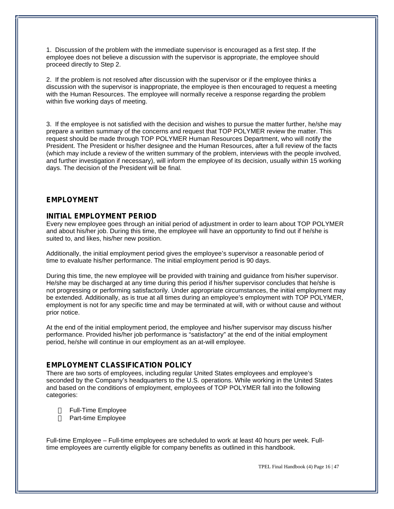1. Discussion of the problem with the immediate supervisor is encouraged as a first step. If the employee does not believe a discussion with the supervisor is appropriate, the employee should proceed directly to Step 2.

2. If the problem is not resolved after discussion with the supervisor or if the employee thinks a discussion with the supervisor is inappropriate, the employee is then encouraged to request a meeting with the Human Resources. The employee will normally receive a response regarding the problem within five working days of meeting.

3. If the employee is not satisfied with the decision and wishes to pursue the matter further, he/she may prepare a written summary of the concerns and request that TOP POLYMER review the matter. This request should be made through TOP POLYMER Human Resources Department, who will notify the President. The President or his/her designee and the Human Resources, after a full review of the facts (which may include a review of the written summary of the problem, interviews with the people involved, and further investigation if necessary), will inform the employee of its decision, usually within 15 working days. The decision of the President will be final.

### **EMPLOYMENT**

### **INITIAL EMPLOYMENT PERIOD**

Every new employee goes through an initial period of adjustment in order to learn about TOP POLYMER and about his/her job. During this time, the employee will have an opportunity to find out if he/she is suited to, and likes, his/her new position.

Additionally, the initial employment period gives the employee's supervisor a reasonable period of time to evaluate his/her performance. The initial employment period is 90 days.

During this time, the new employee will be provided with training and guidance from his/her supervisor. He/she may be discharged at any time during this period if his/her supervisor concludes that he/she is not progressing or performing satisfactorily. Under appropriate circumstances, the initial employment may be extended. Additionally, as is true at all times during an employee's employment with TOP POLYMER, employment is not for any specific time and may be terminated at will, with or without cause and without prior notice.

At the end of the initial employment period, the employee and his/her supervisor may discuss his/her performance. Provided his/her job performance is "satisfactory" at the end of the initial employment period, he/she will continue in our employment as an at-will employee.

### **EMPLOYMENT CLASSIFICATION POLICY**

There are two sorts of employees, including regular United States employees and employee's seconded by the Company's headquarters to the U.S. operations. While working in the United States and based on the conditions of employment, employees of TOP POLYMER fall into the following categories:

- ∣ ⊗ Full-Time Employee|
	- Part-time Employee

Full-time Employee – Full-time employees are scheduled to work at least 40 hours per week. Fulltime employees are currently eligible for company benefits as outlined in this handbook.

TPEL Final Handbook (4) Page 16 | 47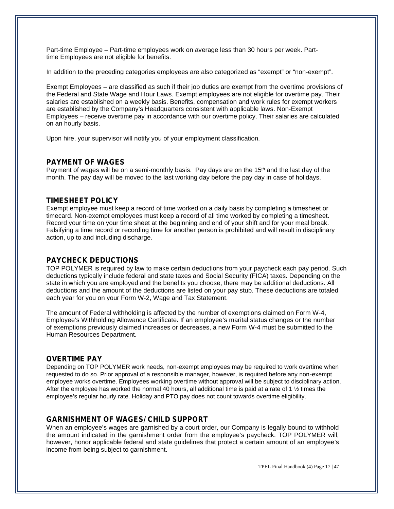Part-time Employee – Part-time employees work on average less than 30 hours per week. Parttime Employees are not eligible for benefits.

In addition to the preceding categories employees are also categorized as "exempt" or "non-exempt".

Exempt Employees – are classified as such if their job duties are exempt from the overtime provisions of the Federal and State Wage and Hour Laws. Exempt employees are not eligible for overtime pay. Their salaries are established on a weekly basis. Benefits, compensation and work rules for exempt workers are established by the Company's Headquarters consistent with applicable laws. Non-Exempt Employees – receive overtime pay in accordance with our overtime policy. Their salaries are calculated on an hourly basis.

Upon hire, your supervisor will notify you of your employment classification.

### **PAYMENT OF WAGES**

Payment of wages will be on a semi-monthly basis. Pay days are on the 15<sup>th</sup> and the last day of the month. The pay day will be moved to the last working day before the pay day in case of holidays.

### **TIMESHEET POLICY**

Exempt employee must keep a record of time worked on a daily basis by completing a timesheet or timecard. Non-exempt employees must keep a record of all time worked by completing a timesheet. Record your time on your time sheet at the beginning and end of your shift and for your meal break. Falsifying a time record or recording time for another person is prohibited and will result in disciplinary action, up to and including discharge.

### **PAYCHECK DEDUCTIONS**

TOP POLYMER is required by law to make certain deductions from your paycheck each pay period. Such deductions typically include federal and state taxes and Social Security (FICA) taxes. Depending on the state in which you are employed and the benefits you choose, there may be additional deductions. All deductions and the amount of the deductions are listed on your pay stub. These deductions are totaled each year for you on your Form W-2, Wage and Tax Statement.

The amount of Federal withholding is affected by the number of exemptions claimed on Form W-4, Employee's Withholding Allowance Certificate. If an employee's marital status changes or the number of exemptions previously claimed increases or decreases, a new Form W-4 must be submitted to the Human Resources Department.

### **OVERTIME PAY**

Depending on TOP POLYMER work needs, non-exempt employees may be required to work overtime when requested to do so. Prior approval of a responsible manager, however, is required before any non-exempt employee works overtime. Employees working overtime without approval will be subject to disciplinary action. After the employee has worked the normal 40 hours, all additional time is paid at a rate of 1  $\frac{1}{2}$  times the employee's regular hourly rate. Holiday and PTO pay does not count towards overtime eligibility.

### **GARNISHMENT OF WAGES/ CHILD SUPPORT**

When an employee's wages are garnished by a court order, our Company is legally bound to withhold the amount indicated in the garnishment order from the employee's paycheck. TOP POLYMER will, however, honor applicable federal and state guidelines that protect a certain amount of an employee's income from being subject to garnishment.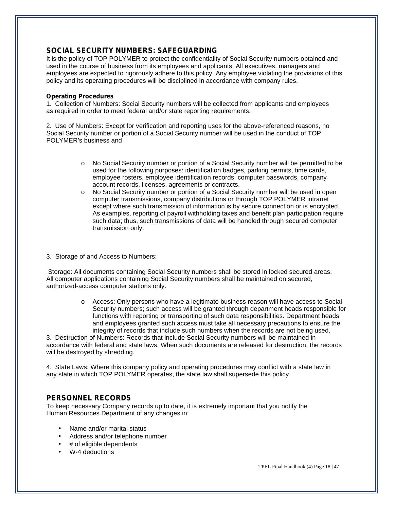### **SOCIAL SECURITY NUMBERS: SAFEGUARDING**

It is the policy of TOP POLYMER to protect the confidentiality of Social Security numbers obtained and used in the course of business from its employees and applicants. All executives, managers and employees are expected to rigorously adhere to this policy. Any employee violating the provisions of this policy and its operating procedures will be disciplined in accordance with company rules.

### **Operating Procedures**

1. Collection of Numbers: Social Security numbers will be collected from applicants and employees as required in order to meet federal and/or state reporting requirements.

2. Use of Numbers: Except for verification and reporting uses for the above-referenced reasons, no Social Security number or portion of a Social Security number will be used in the conduct of TOP POLYMER's business and

- o No Social Security number or portion of a Social Security number will be permitted to be used for the following purposes: identification badges, parking permits, time cards, employee rosters, employee identification records, computer passwords, company account records, licenses, agreements or contracts.
- o No Social Security number or portion of a Social Security number will be used in open computer transmissions, company distributions or through TOP POLYMER intranet except where such transmission of information is by secure connection or is encrypted. As examples, reporting of payroll withholding taxes and benefit plan participation require such data; thus, such transmissions of data will be handled through secured computer transmission only.
- 3. Storage of and Access to Numbers:

Storage: All documents containing Social Security numbers shall be stored in locked secured areas. All computer applications containing Social Security numbers shall be maintained on secured, authorized-access computer stations only.

> o Access: Only persons who have a legitimate business reason will have access to Social Security numbers; such access will be granted through department heads responsible for functions with reporting or transporting of such data responsibilities. Department heads and employees granted such access must take all necessary precautions to ensure the integrity of records that include such numbers when the records are not being used.

3. Destruction of Numbers: Records that include Social Security numbers will be maintained in accordance with federal and state laws. When such documents are released for destruction, the records will be destroyed by shredding.

4. State Laws: Where this company policy and operating procedures may conflict with a state law in any state in which TOP POLYMER operates, the state law shall supersede this policy.

### **PERSONNEL RECORDS**

To keep necessary Company records up to date, it is extremely important that you notify the Human Resources Department of any changes in:

- Name and/or marital status
- Address and/or telephone number
- # of eligible dependents
- W-4 deductions

TPEL Final Handbook (4) Page 18 | 47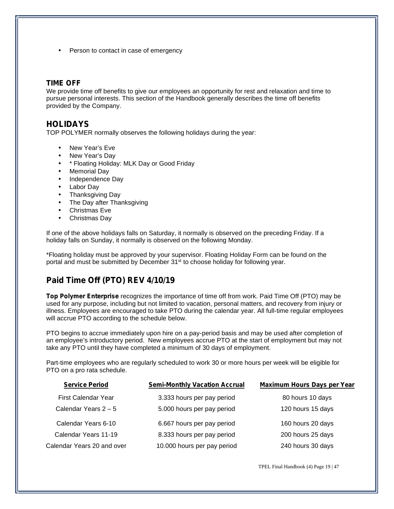Person to contact in case of emergency

### **TIME OFF**

We provide time off benefits to give our employees an opportunity for rest and relaxation and time to pursue personal interests. This section of the Handbook generally describes the time off benefits provided by the Company.

### **HOLIDAYS**

TOP POLYMER normally observes the following holidays during the year:

New Year's Eve | New Year's Day \* Floating Holiday: MLK Day or Good Friday Memorial Day Independence Day Labor Day Thanksgiving Day The Day after Thanksgiving Christmas Eve Christmas Day

If one of the above holidays falls on Saturday, it normally is observed on the preceding Friday. If a holiday falls on Sunday, it normally is observed on the following Monday.

\*Floating holiday must be approved by your supervisor. Floating Holiday Form can be found on the portal and must be submitted by December 31<sup>st</sup> to choose holiday for following year.

### **Paid Time Off (PTO) REV 4/10/19**

**Top Polymer Enterprise** recognizes the importance of time off from work. Paid Time Off (PTO) may be used for any purpose, including but not limited to vacation, personal matters, and recovery from injury or illness. Employees are encouraged to take PTO during the calendar year. All full-time regular employees will accrue PTO according to the schedule below.

PTO begins to accrue immediately upon hire on a pay-period basis and may be used after completion of an employee's introductory period. New employees accrue PTO at the start of employment but may not take any PTO until they have completed a minimum of 30 days of employment.

Part-time employees who are regularly scheduled to work 30 or more hours per week will be eligible for PTO on a pro rata schedule.

| <b>Service Period</b>      | <b>Semi-Monthly Vacation Accrual</b> | <b>Maximum Hours Days per Year</b> |
|----------------------------|--------------------------------------|------------------------------------|
| First Calendar Year        | 3.333 hours per pay period           | 80 hours 10 days                   |
| Calendar Years $2-5$       | 5.000 hours per pay period           | 120 hours 15 days                  |
| Calendar Years 6-10        | 6.667 hours per pay period           | 160 hours 20 days                  |
| Calendar Years 11-19       | 8.333 hours per pay period           | 200 hours 25 days                  |
| Calendar Years 20 and over | 10.000 hours per pay period          | 240 hours 30 days                  |

TPEL Final Handbook (4) Page 19 | 47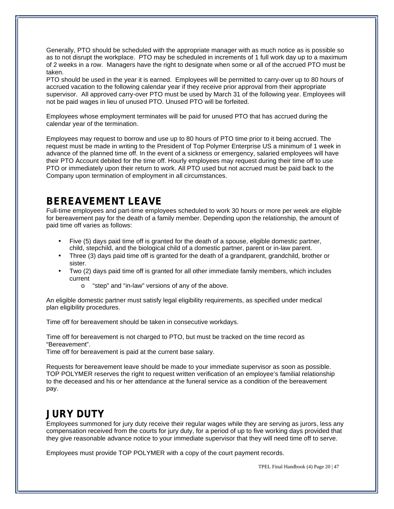Generally, PTO should be scheduled with the appropriate manager with as much notice as is possible so as to not disrupt the workplace. PTO may be scheduled in increments of 1 full work day up to a maximum of 2 weeks in a row. Managers have the right to designate when some or all of the accrued PTO must be taken.

PTO should be used in the year it is earned. Employees will be permitted to carry-over up to 80 hours of accrued vacation to the following calendar year if they receive prior approval from their appropriate supervisor. All approved carry-over PTO must be used by March 31 of the following year. Employees will not be paid wages in lieu of unused PTO. Unused PTO will be forfeited.

Employees whose employment terminates will be paid for unused PTO that has accrued during the calendar year of the termination.

Employees may request to borrow and use up to 80 hours of PTO time prior to it being accrued. The request must be made in writing to the President of Top Polymer Enterprise US a minimum of 1 week in advance of the planned time off. In the event of a sickness or emergency, salaried employees will have their PTO Account debited for the time off. Hourly employees may request during their time off to use PTO or immediately upon their return to work. All PTO used but not accrued must be paid back to the Company upon termination of employment in all circumstances.

### **BEREAVEMENT LEAVE**

Full-time employees and part-time employees scheduled to work 30 hours or more per week are eligible for bereavement pay for the death of a family member. Depending upon the relationship, the amount of paid time off varies as follows:

- Five (5) days paid time off is granted for the death of a spouse, eligible domestic partner, child, stepchild, and the biological child of a domestic partner, parent or in-law parent.
- Three (3) days paid time off is granted for the death of a grandparent, grandchild, brother or sister.
- Two (2) days paid time off is granted for all other immediate family members, which includes current
	- o "step" and "in-law" versions of any of the above.

An eligible domestic partner must satisfy legal eligibility requirements, as specified under medical plan eligibility procedures.

Time off for bereavement should be taken in consecutive workdays.

Time off for bereavement is not charged to PTO, but must be tracked on the time record as "Bereavement".

Time off for bereavement is paid at the current base salary.

Requests for bereavement leave should be made to your immediate supervisor as soon as possible. TOP POLYMER reserves the right to request written verification of an employee's familial relationship to the deceased and his or her attendance at the funeral service as a condition of the bereavement pay.

### **JURY DUTY**

 $\overline{1}$ 

Employees summoned for jury duty receive their regular wages while they are serving as jurors, less any compensation received from the courts for jury duty, for a period of up to five working days provided that they give reasonable advance notice to your immediate supervisor that they will need time off to serve.

Employees must provide TOP POLYMER with a copy of the court payment records.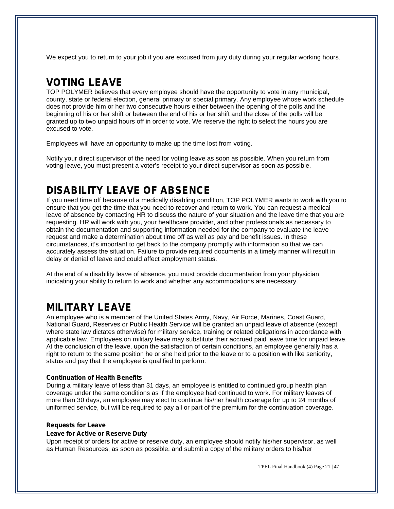We expect you to return to your job if you are excused from jury duty during your regular working hours.

### **VOTING LEAVE**

TOP POLYMER believes that every employee should have the opportunity to vote in any municipal, county, state or federal election, general primary or special primary. Any employee whose work schedule does not provide him or her two consecutive hours either between the opening of the polls and the beginning of his or her shift or between the end of his or her shift and the close of the polls will be granted up to two unpaid hours off in order to vote. We reserve the right to select the hours you are excused to vote.

Employees will have an opportunity to make up the time lost from voting.

Notify your direct supervisor of the need for voting leave as soon as possible. When you return from voting leave, you must present a voter's receipt to your direct supervisor as soon as possible.

## **DISABILITY LEAVE OF ABSENCE**

If you need time off because of a medically disabling condition, TOP POLYMER wants to work with you to ensure that you get the time that you need to recover and return to work. You can request a medical leave of absence by contacting HR to discuss the nature of your situation and the leave time that you are requesting. HR will work with you, your healthcare provider, and other professionals as necessary to obtain the documentation and supporting information needed for the company to evaluate the leave request and make a determination about time off as well as pay and benefit issues. In these circumstances, it's important to get back to the company promptly with information so that we can accurately assess the situation. Failure to provide required documents in a timely manner will result in delay or denial of leave and could affect employment status.

At the end of a disability leave of absence, you must provide documentation from your physician indicating your ability to return to work and whether any accommodations are necessary.

### **MILITARY LEAVE**

An employee who is a member of the United States Army, Navy, Air Force, Marines, Coast Guard, National Guard, Reserves or Public Health Service will be granted an unpaid leave of absence (except where state law dictates otherwise) for military service, training or related obligations in accordance with applicable law. Employees on military leave may substitute their accrued paid leave time for unpaid leave. At the conclusion of the leave, upon the satisfaction of certain conditions, an employee generally has a right to return to the same position he or she held prior to the leave or to a position with like seniority, status and pay that the employee is qualified to perform.

### **Continuation of Health Benefits**

During a military leave of less than 31 days, an employee is entitled to continued group health plan coverage under the same conditions as if the employee had continued to work. For military leaves of more than 30 days, an employee may elect to continue his/her health coverage for up to 24 months of uniformed service, but will be required to pay all or part of the premium for the continuation coverage.

### **Requests for Leave**

#### **Leave for Active or Reserve Duty**

Upon receipt of orders for active or reserve duty, an employee should notify his/her supervisor, as well as Human Resources, as soon as possible, and submit a copy of the military orders to his/her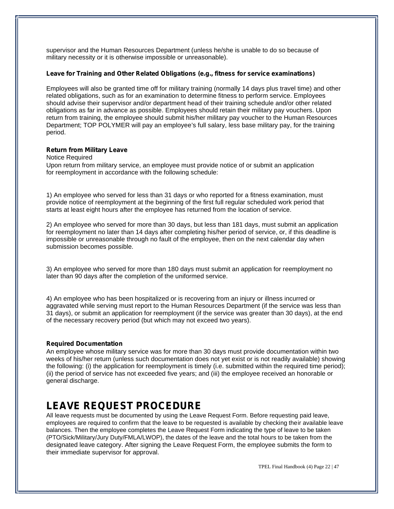supervisor and the Human Resources Department (unless he/she is unable to do so because of military necessity or it is otherwise impossible or unreasonable).

### **Leave for Training and Other Related Obligations (e.g., fitness for service examinations)**

Employees will also be granted time off for military training (normally 14 days plus travel time) and other related obligations, such as for an examination to determine fitness to perform service. Employees should advise their supervisor and/or department head of their training schedule and/or other related obligations as far in advance as possible. Employees should retain their military pay vouchers. Upon return from training, the employee should submit his/her military pay voucher to the Human Resources Department; TOP POLYMER will pay an employee's full salary, less base military pay, for the training period.

### **Return from Military Leave**

#### Notice Required

Upon return from military service, an employee must provide notice of or submit an application for reemployment in accordance with the following schedule:

1) An employee who served for less than 31 days or who reported for a fitness examination, must provide notice of reemployment at the beginning of the first full regular scheduled work period that starts at least eight hours after the employee has returned from the location of service.

2) An employee who served for more than 30 days, but less than 181 days, must submit an application for reemployment no later than 14 days after completing his/her period of service, or, if this deadline is impossible or unreasonable through no fault of the employee, then on the next calendar day when submission becomes possible.

3) An employee who served for more than 180 days must submit an application for reemployment no later than 90 days after the completion of the uniformed service.

4) An employee who has been hospitalized or is recovering from an injury or illness incurred or aggravated while serving must report to the Human Resources Department (if the service was less than 31 days), or submit an application for reemployment (if the service was greater than 30 days), at the end of the necessary recovery period (but which may not exceed two years).

### **Required Documentation**

An employee whose military service was for more than 30 days must provide documentation within two weeks of his/her return (unless such documentation does not yet exist or is not readily available) showing the following: (i) the application for reemployment is timely (i.e. submitted within the required time period); (ii) the period of service has not exceeded five years; and (iii) the employee received an honorable or general discharge.

### **LEAVE REQUEST PROCEDURE**

All leave requests must be documented by using the Leave Request Form. Before requesting paid leave, employees are required to confirm that the leave to be requested is available by checking their available leave balances. Then the employee completes the Leave Request Form indicating the type of leave to be taken (PTO/Sick/Military/Jury Duty/FMLA/LWOP), the dates of the leave and the total hours to be taken from the designated leave category. After signing the Leave Request Form, the employee submits the form to their immediate supervisor for approval.

TPEL Final Handbook (4) Page 22 | 47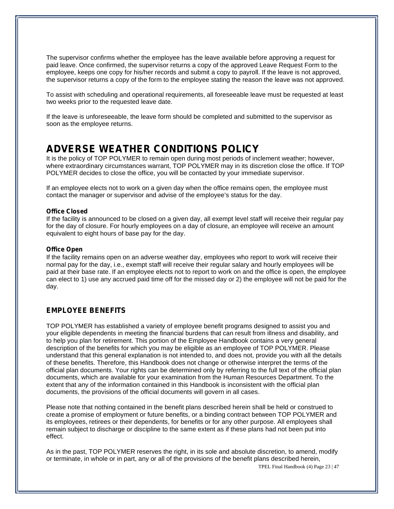The supervisor confirms whether the employee has the leave available before approving a request for paid leave. Once confirmed, the supervisor returns a copy of the approved Leave Request Form to the employee, keeps one copy for his/her records and submit a copy to payroll. If the leave is not approved, the supervisor returns a copy of the form to the employee stating the reason the leave was not approved.

To assist with scheduling and operational requirements, all foreseeable leave must be requested at least two weeks prior to the requested leave date.

If the leave is unforeseeable, the leave form should be completed and submitted to the supervisor as soon as the employee returns.

### **ADVERSE WEATHER CONDITIONS POLICY**

It is the policy of TOP POLYMER to remain open during most periods of inclement weather; however, where extraordinary circumstances warrant, TOP POLYMER may in its discretion close the office. If TOP POLYMER decides to close the office, you will be contacted by your immediate supervisor.

If an employee elects not to work on a given day when the office remains open, the employee must contact the manager or supervisor and advise of the employee's status for the day.

### **Office Closed**

If the facility is announced to be closed on a given day, all exempt level staff will receive their regular pay for the day of closure. For hourly employees on a day of closure, an employee will receive an amount equivalent to eight hours of base pay for the day.

### **Office Open**

If the facility remains open on an adverse weather day, employees who report to work will receive their normal pay for the day, i.e., exempt staff will receive their regular salary and hourly employees will be paid at their base rate. If an employee elects not to report to work on and the office is open, the employee can elect to 1) use any accrued paid time off for the missed day or 2) the employee will not be paid for the day.

### **EMPLOYEE BENEFITS**

TOP POLYMER has established a variety of employee benefit programs designed to assist you and your eligible dependents in meeting the financial burdens that can result from illness and disability, and to help you plan for retirement. This portion of the Employee Handbook contains a very general description of the benefits for which you may be eligible as an employee of TOP POLYMER. Please understand that this general explanation is not intended to, and does not, provide you with all the details of these benefits. Therefore, this Handbook does not change or otherwise interpret the terms of the official plan documents. Your rights can be determined only by referring to the full text of the official plan documents, which are available for your examination from the Human Resources Department. To the extent that any of the information contained in this Handbook is inconsistent with the official plan documents, the provisions of the official documents will govern in all cases.

Please note that nothing contained in the benefit plans described herein shall be held or construed to create a promise of employment or future benefits, or a binding contract between TOP POLYMER and its employees, retirees or their dependents, for benefits or for any other purpose. All employees shall remain subject to discharge or discipline to the same extent as if these plans had not been put into effect.

As in the past, TOP POLYMER reserves the right, in its sole and absolute discretion, to amend, modify or terminate, in whole or in part, any or all of the provisions of the benefit plans described herein,

TPEL Final Handbook (4) Page 23 | 47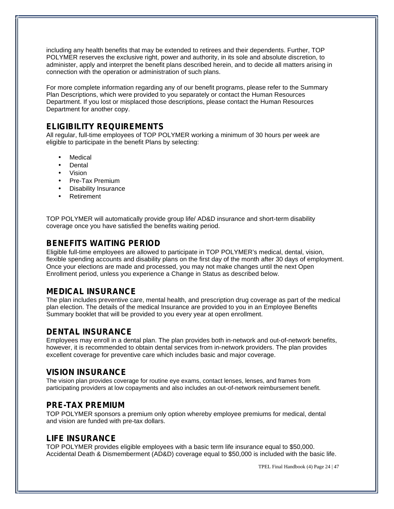including any health benefits that may be extended to retirees and their dependents. Further, TOP POLYMER reserves the exclusive right, power and authority, in its sole and absolute discretion, to administer, apply and interpret the benefit plans described herein, and to decide all matters arising in connection with the operation or administration of such plans.

For more complete information regarding any of our benefit programs, please refer to the Summary Plan Descriptions, which were provided to you separately or contact the Human Resources Department. If you lost or misplaced those descriptions, please contact the Human Resources Department for another copy.

### **ELIGIBILITY REQUIREMENTS**

All regular, full-time employees of TOP POLYMER working a minimum of 30 hours per week are eligible to participate in the benefit Plans by selecting:

**Medicall** 

- Dental
- Vision
- Pre-Tax Premium
- Disability Insurance
- **Retirementl**

TOP POLYMER will automatically provide group life/ AD&D insurance and short-term disability coverage once you have satisfied the benefits waiting period.

### **BENEFITS WAITING PERIOD**

Eligible full-time employees are allowed to participate in TOP POLYMER's medical, dental, vision, flexible spending accounts and disability plans on the first day of the month after 30 days of employment. Once your elections are made and processed, you may not make changes until the next Open Enrollment period, unless you experience a Change in Status as described below.

### **MEDICAL INSURANCE**

The plan includes preventive care, mental health, and prescription drug coverage as part of the medical plan election. The details of the medical Insurance are provided to you in an Employee Benefits Summary booklet that will be provided to you every year at open enrollment.

### **DENTAL INSURANCE**

Employees may enroll in a dental plan. The plan provides both in-network and out-of-network benefits, however, it is recommended to obtain dental services from in-network providers. The plan provides excellent coverage for preventive care which includes basic and major coverage.

### **VISION INSURANCE**

The vision plan provides coverage for routine eye exams, contact lenses, lenses, and frames from participating providers at low copayments and also includes an out-of-network reimbursement benefit.

### **PRE-TAX PREMIUM**

TOP POLYMER sponsors a premium only option whereby employee premiums for medical, dental and vision are funded with pre-tax dollars.

### **LIFE INSURANCE**

TOP POLYMER provides eligible employees with a basic term life insurance equal to \$50,000. Accidental Death & Dismemberment (AD&D) coverage equal to \$50,000 is included with the basic life.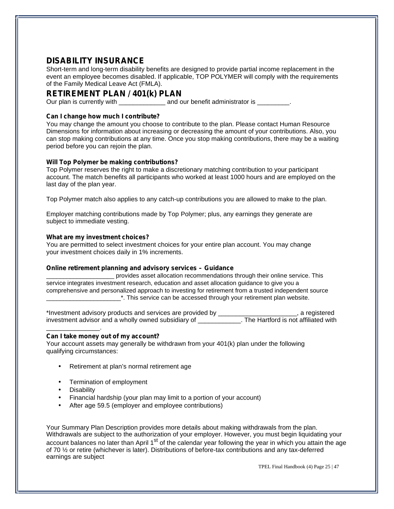### **DISABILITY INSURANCE**

Short-term and long-term disability benefits are designed to provide partial income replacement in the event an employee becomes disabled. If applicable, TOP POLYMER will comply with the requirements of the Family Medical Leave Act (FMLA).

### **RETIREMENT PLAN / 401(k) PLAN**

Our plan is currently with \_\_\_\_\_\_\_\_\_\_\_\_\_\_\_\_\_ and our benefit administrator is \_\_\_\_\_\_\_\_\_.

### **Can I change how much I contribute?**

You may change the amount you choose to contribute to the plan. Please contact Human Resource Dimensions for information about increasing or decreasing the amount of your contributions. Also, you can stop making contributions at any time. Once you stop making contributions, there may be a waiting period before you can rejoin the plan.

### **Will Top Polymer be making contributions?**

Top Polymer reserves the right to make a discretionary matching contribution to your participant account. The match benefits all participants who worked at least 1000 hours and are employed on the last day of the plan year.

Top Polymer match also applies to any catch-up contributions you are allowed to make to the plan.

Employer matching contributions made by Top Polymer; plus, any earnings they generate are subject to immediate vesting.

### **What are my investment choices?**

You are permitted to select investment choices for your entire plan account. You may change your investment choices daily in 1% increments.

### **Online retirement planning and advisory services – Guidance**

\_\_\_\_\_\_\_\_\_\_\_\_\_\_\_\_\_\_\_\_ provides asset allocation recommendations through their online service. This service integrates investment research, education and asset allocation guidance to give you a comprehensive and personalized approach to investing for retirement from a trusted independent source \*. This service can be accessed through your retirement plan website.

\*Investment advisory products and services are provided by \_\_\_\_\_\_\_\_\_\_\_\_\_\_\_\_\_\_\_\_\_\_, a registered investment advisor and a wholly owned subsidiary of \_\_\_\_\_\_\_\_\_\_\_\_. The Hartford is not affiliated with

### **Can I take money out of my account?**

Your account assets may generally be withdrawn from your 401(k) plan under the following qualifying circumstances:

- Retirement at plan's normal retirement age
- $\mathbb{R}^n$
- Termination of employment
- **Disabilityl**

\_\_\_\_\_\_\_\_\_\_\_\_\_\_\_.

- Financial hardship (your plan may limit to a portion of your account)
- After age 59.5 (employer and employee contributions)

Your Summary Plan Description provides more details about making withdrawals from the plan. Withdrawals are subject to the authorization of your employer. However, you must begin liquidating your account balances no later than April 1<sup>st</sup> of the calendar year following the year in which you attain the age of 70 ½ or retire (whichever is later). Distributions of before-tax contributions and any tax-deferred earnings are subject

TPEL Final Handbook (4) Page 25 | 47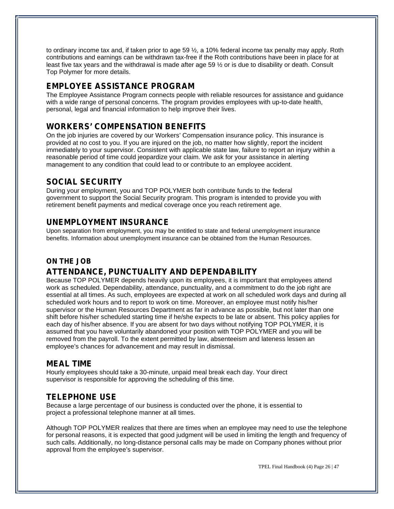to ordinary income tax and, if taken prior to age 59 ½, a 10% federal income tax penalty may apply. Roth contributions and earnings can be withdrawn tax-free if the Roth contributions have been in place for at least five tax years and the withdrawal is made after age 59 ½ or is due to disability or death. Consult Top Polymer for more details.

### **EMPLOYEE ASSISTANCE PROGRAM**

The Employee Assistance Program connects people with reliable resources for assistance and guidance with a wide range of personal concerns. The program provides employees with up-to-date health, personal, legal and financial information to help improve their lives.

### **WORKERS' COMPENSATION BENEFITS**

On the job injuries are covered by our Workers' Compensation insurance policy. This insurance is provided at no cost to you. If you are injured on the job, no matter how slightly, report the incident immediately to your supervisor. Consistent with applicable state law, failure to report an injury within a reasonable period of time could jeopardize your claim. We ask for your assistance in alerting management to any condition that could lead to or contribute to an employee accident.

### **SOCIAL SECURITY**

During your employment, you and TOP POLYMER both contribute funds to the federal government to support the Social Security program. This program is intended to provide you with retirement benefit payments and medical coverage once you reach retirement age.

### **UNEMPLOYMENT INSURANCE**

Upon separation from employment, you may be entitled to state and federal unemployment insurance benefits. Information about unemployment insurance can be obtained from the Human Resources.

### **ON THE JOB**

### **ATTENDANCE, PUNCTUALITY AND DEPENDABILITY**

Because TOP POLYMER depends heavily upon its employees, it is important that employees attend work as scheduled. Dependability, attendance, punctuality, and a commitment to do the job right are essential at all times. As such, employees are expected at work on all scheduled work days and during all scheduled work hours and to report to work on time. Moreover, an employee must notify his/her supervisor or the Human Resources Department as far in advance as possible, but not later than one shift before his/her scheduled starting time if he/she expects to be late or absent. This policy applies for each day of his/her absence. If you are absent for two days without notifying TOP POLYMER, it is assumed that you have voluntarily abandoned your position with TOP POLYMER and you will be removed from the payroll. To the extent permitted by law, absenteeism and lateness lessen an employee's chances for advancement and may result in dismissal.

### **MEAL TIME**

Hourly employees should take a 30-minute, unpaid meal break each day. Your direct supervisor is responsible for approving the scheduling of this time.

### **TELEPHONE USE**

Because a large percentage of our business is conducted over the phone, it is essential to project a professional telephone manner at all times.

Although TOP POLYMER realizes that there are times when an employee may need to use the telephone for personal reasons, it is expected that good judgment will be used in limiting the length and frequency of such calls. Additionally, no long-distance personal calls may be made on Company phones without prior approval from the employee's supervisor.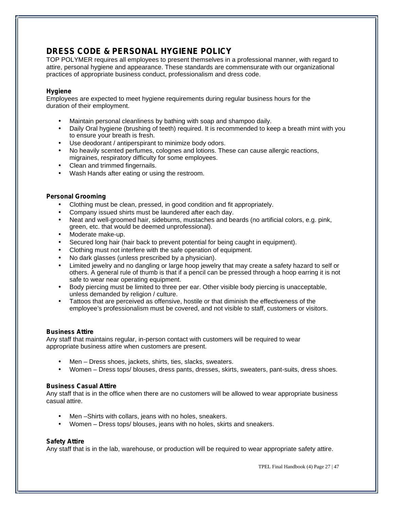### **DRESS CODE & PERSONAL HYGIENE POLICY**

TOP POLYMER requires all employees to present themselves in a professional manner, with regard to attire, personal hygiene and appearance. These standards are commensurate with our organizational practices of appropriate business conduct, professionalism and dress code.

### **Hygiene**

Employees are expected to meet hygiene requirements during regular business hours for the duration of their employment.

- Maintain personal cleanliness by bathing with soap and shampoo daily.
- Daily Oral hygiene (brushing of teeth) required. It is recommended to keep a breath mint with you to ensure your breath is fresh.
- Use deodorant / antiperspirant to minimize body odors.
- No heavily scented perfumes, colognes and lotions. These can cause allergic reactions, migraines, respiratory difficulty for some employees.
- Clean and trimmed fingernails.
- Wash Hands after eating or using the restroom.

### **Personal Grooming**

- Clothing must be clean, pressed, in good condition and fit appropriately.
- Company issued shirts must be laundered after each day.
- Neat and well-groomed hair, sideburns, mustaches and beards (no artificial colors, e.g. pink, green, etc. that would be deemed unprofessional).
- Moderate make-up.
- Secured long hair (hair back to prevent potential for being caught in equipment).
- Clothing must not interfere with the safe operation of equipment.
- No dark glasses (unless prescribed by a physician).
- Limited jewelry and no dangling or large hoop jewelry that may create a safety hazard to self or others. A general rule of thumb is that if a pencil can be pressed through a hoop earring it is not safe to wear near operating equipment.
- Body piercing must be limited to three per ear. Other visible body piercing is unacceptable, unless demanded by religion / culture.
- Tattoos that are perceived as offensive, hostile or that diminish the effectiveness of the employee's professionalism must be covered, and not visible to staff, customers or visitors.

### **Business Attire**

Any staff that maintains regular, in-person contact with customers will be required to wear appropriate business attire when customers are present.

Men – Dress shoes, jackets, shirts, ties, slacks, sweaters. |

Women – Dress tops/ blouses, dress pants, dresses, skirts, sweaters, pant-suits, dress shoes. [  $\mathbb{R}^n$ 

### **Business Casual Attire**

Any staff that is in the office when there are no customers will be allowed to wear appropriate business casual attire.

- Men –Shirts with collars, jeans with no holes, sneakers.
- Women Dress tops/ blouses, jeans with no holes, skirts and sneakers.

### **Safety Attire**

Any staff that is in the lab, warehouse, or production will be required to wear appropriate safety attire.

TPEL Final Handbook (4) Page 27 | 47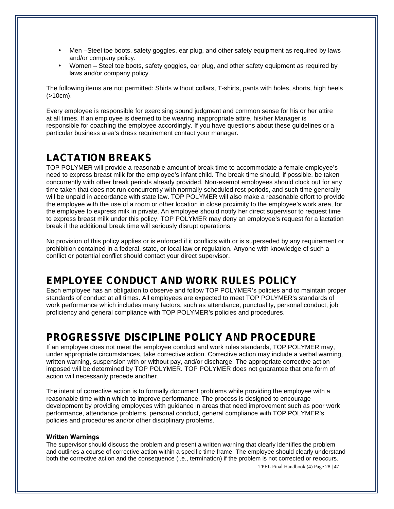- Men –Steel toe boots, safety goggles, ear plug, and other safety equipment as required by laws and/or company policy.
- Women Steel toe boots, safety goggles, ear plug, and other safety equipment as required by laws and/or company policy.

The following items are not permitted: Shirts without collars, T-shirts, pants with holes, shorts, high heels  $($ >10cm $).$ 

 $\mathbb{R}^n$ Every employee is responsible for exercising sound judgment and common sense for his or her attire at all times. If an employee is deemed to be wearing inappropriate attire, his/her Manager is responsible for coaching the employee accordingly. If you have questions about these guidelines or a particular business area's dress requirement contact your manager.

## **LACTATION BREAKS**

 $\mathbb{R}^n$ 

TOP POLYMER will provide a reasonable amount of break time to accommodate a female employee's need to express breast milk for the employee's infant child. The break time should, if possible, be taken concurrently with other break periods already provided. Non-exempt employees should clock out for any time taken that does not run concurrently with normally scheduled rest periods, and such time generally will be unpaid in accordance with state law. TOP POLYMER will also make a reasonable effort to provide the employee with the use of a room or other location in close proximity to the employee's work area, for the employee to express milk in private. An employee should notify her direct supervisor to request time to express breast milk under this policy. TOP POLYMER may deny an employee's request for a lactation break if the additional break time will seriously disrupt operations.

No provision of this policy applies or is enforced if it conflicts with or is superseded by any requirement or prohibition contained in a federal, state, or local law or regulation. Anyone with knowledge of such a conflict or potential conflict should contact your direct supervisor.

## **EMPLOYEE CONDUCT AND WORK RULES POLICY**

Each employee has an obligation to observe and follow TOP POLYMER's policies and to maintain proper standards of conduct at all times. All employees are expected to meet TOP POLYMER's standards of work performance which includes many factors, such as attendance, punctuality, personal conduct, job proficiency and general compliance with TOP POLYMER's policies and procedures.

### **PROGRESSIVE DISCIPLINE POLICY AND PROCEDURE**

If an employee does not meet the employee conduct and work rules standards, TOP POLYMER may, under appropriate circumstances, take corrective action. Corrective action may include a verbal warning, written warning, suspension with or without pay, and/or discharge. The appropriate corrective action imposed will be determined by TOP POLYMER. TOP POLYMER does not guarantee that one form of action will necessarily precede another.

The intent of corrective action is to formally document problems while providing the employee with a reasonable time within which to improve performance. The process is designed to encourage development by providing employees with guidance in areas that need improvement such as poor work performance, attendance problems, personal conduct, general compliance with TOP POLYMER's policies and procedures and/or other disciplinary problems.

### **Written Warnings**

The supervisor should discuss the problem and present a written warning that clearly identifies the problem and outlines a course of corrective action within a specific time frame. The employee should clearly understand both the corrective action and the consequence (i.e., termination) if the problem is not corrected or reoccurs.

TPEL Final Handbook (4) Page 28 | 47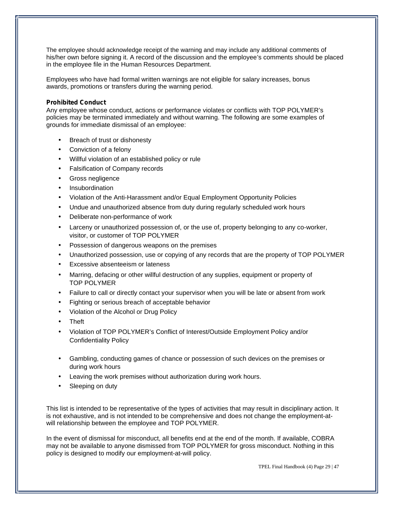The employee should acknowledge receipt of the warning and may include any additional comments of his/her own before signing it. A record of the discussion and the employee's comments should be placed in the employee file in the Human Resources Department.

Employees who have had formal written warnings are not eligible for salary increases, bonus awards, promotions or transfers during the warning period.

### **Prohibited Conduct**

Any employee whose conduct, actions or performance violates or conflicts with TOP POLYMER's policies may be terminated immediately and without warning. The following are some examples of grounds for immediate dismissal of an employee:

- Breach of trust or dishonesty  $\vert \hspace{.8cm}$
- Conviction of a felony  $\vert \hspace{.8cm}$
- Willful violation of an established policy or rule  $\vert \hspace{.8cm}$
- Falsification of Company records  $\vert \hspace{.8cm} \rangle$
- Gross negligence  $\vert \hspace{.8cm}$
- Insubordination  $\vert \hspace{.8cm}$
- Violation of the Anti-Harassment and/or Equal Employment Opportunity Policies  $\vert \hspace{.8cm}$
- Undue and unauthorized absence from duty during regularly scheduled work hours  $\vert \hspace{.8cm}$
- Deliberate non-performance of work  $\vert \hspace{.8cm} \rangle$
- Larceny or unauthorized possession of, or the use of, property belonging to any co-worker, visitor, or customer of TOP POLYMER  $\mathbb{R}^n$
- Possession of dangerous weapons on the premises  $\vert \hspace{.8cm} \rangle$
- Unauthorized possession, use or copying of any records that are the property of TOP POLYMER  $\vert \hspace{.8cm}$
- Excessive absenteeism or lateness  $\vert \hspace{.8cm} \rangle$
- Marring, defacing or other willful destruction of any supplies, equipment or property of TOP POLYMER  $\mathbb{R}^n$
- Failure to call or directly contact your supervisor when you will be late or absent from work|  $\vert \hspace{.8cm}$
- Fighting or serious breach of acceptable behavior  $\vert \hspace{.8cm}$
- Violation of the Alcohol or Drug Policy  $\vert \hspace{.8cm}$
- Theft  $\vert$   $\vert$

 $\mathbb{R}^n$ 

- Violation of TOP POLYMER's Conflict of Interest/Outside Employment Policy and/or Confidentiality Policy
- $\mathbb{R}^n$
- Gambling, conducting games of chance or possession of such devices on the premises or during work hours  $\mathbb{R}^n$
- Leaving the work premises without authorization during work hours.  $\vert \hspace{.8cm}$ 
	- Sleeping on duty

This list is intended to be representative of the types of activities that may result in disciplinary action. It is not exhaustive, and is not intended to be comprehensive and does not change the employment-at will relationship between the employee and TOP POLYMER.

In the event of dismissal for misconduct, all benefits end at the end of the month. If available, COBRA may not be available to anyone dismissed from TOP POLYMER for gross misconduct. Nothing in this policy is designed to modify our employment-at-will policy.

TPEL Final Handbook (4) Page 29 | 47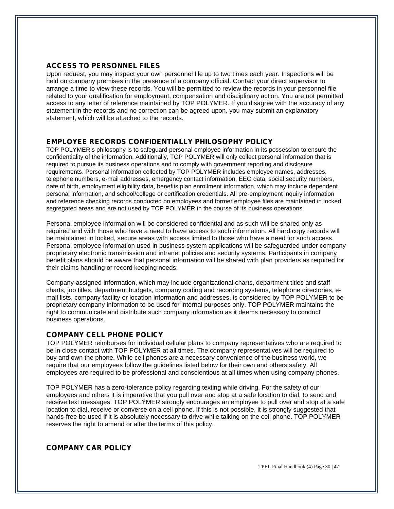### **ACCESS TO PERSONNEL FILES**

Upon request, you may inspect your own personnel file up to two times each year. Inspections will be held on company premises in the presence of a company official. Contact your direct supervisor to arrange a time to view these records. You will be permitted to review the records in your personnel file related to your qualification for employment, compensation and disciplinary action. You are not permitted access to any letter of reference maintained by TOP POLYMER. If you disagree with the accuracy of any statement in the records and no correction can be agreed upon, you may submit an explanatory statement, which will be attached to the records.

### **EMPLOYEE RECORDS CONFIDENTIALLY PHILOSOPHY POLICY**

TOP POLYMER's philosophy is to safeguard personal employee information in its possession to ensure the confidentiality of the information. Additionally, TOP POLYMER will only collect personal information that is required to pursue its business operations and to comply with government reporting and disclosure requirements. Personal information collected by TOP POLYMER includes employee names, addresses, telephone numbers, e-mail addresses, emergency contact information, EEO data, social security numbers, date of birth, employment eligibility data, benefits plan enrollment information, which may include dependent personal information, and school/college or certification credentials. All pre-employment inquiry information and reference checking records conducted on employees and former employee files are maintained in locked, segregated areas and are not used by TOP POLYMER in the course of its business operations.

Personal employee information will be considered confidential and as such will be shared only as required and with those who have a need to have access to such information. All hard copy records will be maintained in locked, secure areas with access limited to those who have a need for such access. Personal employee information used in business system applications will be safeguarded under company proprietary electronic transmission and intranet policies and security systems. Participants in company benefit plans should be aware that personal information will be shared with plan providers as required for their claims handling or record keeping needs.

Company-assigned information, which may include organizational charts, department titles and staff charts, job titles, department budgets, company coding and recording systems, telephone directories, e mail lists, company facility or location information and addresses, is considered by TOP POLYMER to be proprietary company information to be used for internal purposes only. TOP POLYMER maintains the right to communicate and distribute such company information as it deems necessary to conduct business operations.

### **COMPANY CELL PHONE POLICY**

TOP POLYMER reimburses for individual cellular plans to company representatives who are required to be in close contact with TOP POLYMER at all times. The company representatives will be required to buy and own the phone. While cell phones are a necessary convenience of the business world, we require that our employees follow the guidelines listed below for their own and others safety. All employees are required to be professional and conscientious at all times when using company phones.

TOP POLYMER has a zero-tolerance policy regarding texting while driving. For the safety of our employees and others it is imperative that you pull over and stop at a safe location to dial, to send and receive text messages. TOP POLYMER strongly encourages an employee to pull over and stop at a safe location to dial, receive or converse on a cell phone. If this is not possible, it is strongly suggested that hands-free be used if it is absolutely necessary to drive while talking on the cell phone. TOP POLYMER reserves the right to amend or alter the terms of this policy.

### **COMPANY CAR POLICY**

TPEL Final Handbook (4) Page 30 | 47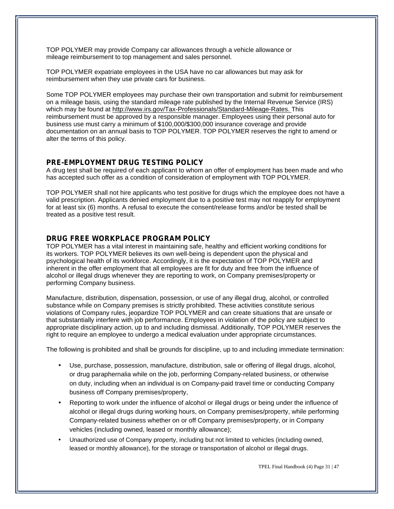TOP POLYMER may provide Company car allowances through a vehicle allowance or mileage reimbursement to top management and sales personnel.

TOP POLYMER expatriate employees in the USA have no car allowances but may ask for reimbursement when they use private cars for business.

Some TOP POLYMER employees may purchase their own transportation and submit for reimbursement on a mileage basis, using the standard mileage rate published by the Internal Revenue Service (IRS) which may be found at http://www.irs.gov/Tax-Professionals/Standard-Mileage-Rates. This reimbursement must be approved by a responsible manager. Employees using their personal auto for business use must carry a minimum of \$100,000/\$300,000 insurance coverage and provide documentation on an annual basis to TOP POLYMER. TOP POLYMER reserves the right to amend or alter the terms of this policy.

### **PRE-EMPLOYMENT DRUG TESTING POLICY**

A drug test shall be required of each applicant to whom an offer of employment has been made and who has accepted such offer as a condition of consideration of employment with TOP POLYMER.

TOP POLYMER shall not hire applicants who test positive for drugs which the employee does not have a valid prescription. Applicants denied employment due to a positive test may not reapply for employment for at least six (6) months. A refusal to execute the consent/release forms and/or be tested shall be treated as a positive test result.

### **DRUG FREE WORKPLACE PROGRAM POLICY**

I

TOP POLYMER has a vital interest in maintaining safe, healthy and efficient working conditions for its workers. TOP POLYMER believes its own well-being is dependent upon the physical and psychological health of its workforce. Accordingly, it is the expectation of TOP POLYMER and inherent in the offer employment that all employees are fit for duty and free from the influence of alcohol or illegal drugs whenever they are reporting to work, on Company premises/property or performing Company business.

Manufacture, distribution, dispensation, possession, or use of any illegal drug, alcohol, or controlled substance while on Company premises is strictly prohibited. These activities constitute serious violations of Company rules, jeopardize TOP POLYMER and can create situations that are unsafe or that substantially interfere with job performance. Employees in violation of the policy are subject to appropriate disciplinary action, up to and including dismissal. Additionally, TOP POLYMER reserves the right to require an employee to undergo a medical evaluation under appropriate circumstances.

The following is prohibited and shall be grounds for discipline, up to and including immediate termination:

- Use, purchase, possession, manufacture, distribution, sale or offering of illegal drugs, alcohol, or drug paraphernalia while on the job, performing Company-related business, or otherwise on duty, including when an individual is on Company-paid travel time or conducting Company business off Company premises/property,  $\mathbb{R}^n$
- Reporting to work under the influence of alcohol or illegal drugs or being under the influence of alcohol or illegal drugs during working hours, on Company premises/property, while performing Company-related business whether on or off Company premises/property, or in Company vehicles (including owned, leased or monthly allowance);  $\mathbb{R}^n$
- Unauthorized use of Company property, including but not limited to vehicles (including owned, leased or monthly allowance), for the storage or transportation of alcohol or illegal drugs.

TPEL Final Handbook (4) Page 31 | 47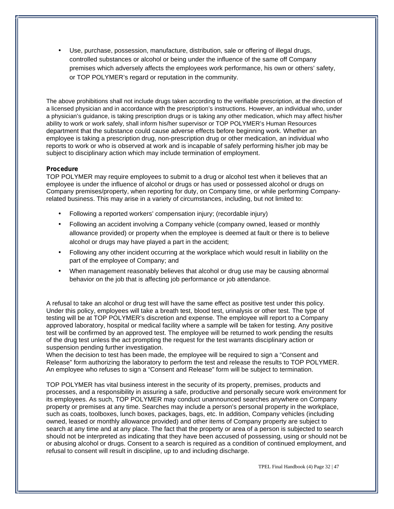Use, purchase, possession, manufacture, distribution, sale or offering of illegal drugs, controlled substances or alcohol or being under the influence of the same off Company premises which adversely affects the employees work performance, his own or others' safety, or TOP POLYMER's regard or reputation in the community.

The above prohibitions shall not include drugs taken according to the verifiable prescription, at the direction of a licensed physician and in accordance with the prescription's instructions. However, an individual who, under a physician's guidance, is taking prescription drugs or is taking any other medication, which may affect his/her ability to work or work safely, shall inform his/her supervisor or TOP POLYMER's Human Resources department that the substance could cause adverse effects before beginning work. Whether an employee is taking a prescription drug, non-prescription drug or other medication, an individual who reports to work or who is observed at work and is incapable of safely performing his/her job may be subject to disciplinary action which may include termination of employment.

### **Procedure**

TOP POLYMER may require employees to submit to a drug or alcohol test when it believes that an employee is under the influence of alcohol or drugs or has used or possessed alcohol or drugs on Company premises/property, when reporting for duty, on Company time, or while performing Companyrelated business. This may arise in a variety of circumstances, including, but not limited to:

- Following a reported workers' compensation injury; (recordable injury)  $\vert \hspace{.8cm} \rangle$
- Following an accident involving a Company vehicle (company owned, leased or monthly allowance provided) or property when the employee is deemed at fault or there is to believe alcohol or drugs may have played a part in the accident;  $\mathbb{R}^n$
- Following any other incident occurring at the workplace which would result in liability on the part of the employee of Company; and  $\mathbb{R}^n$ 
	- When management reasonably believes that alcohol or drug use may be causing abnormal behavior on the job that is affecting job performance or job attendance.

A refusal to take an alcohol or drug test will have the same effect as positive test under this policy. Under this policy, employees will take a breath test, blood test, urinalysis or other test. The type of testing will be at TOP POLYMER's discretion and expense. The employee will report to a Company approved laboratory, hospital or medical facility where a sample will be taken for testing. Any positive test will be confirmed by an approved test. The employee will be returned to work pending the results of the drug test unless the act prompting the request for the test warrants disciplinary action or suspension pending further investigation.

When the decision to test has been made, the employee will be required to sign a "Consent and Release" form authorizing the laboratory to perform the test and release the results to TOP POLYMER. An employee who refuses to sign a "Consent and Release" form will be subject to termination.

TOP POLYMER has vital business interest in the security of its property, premises, products and processes, and a responsibility in assuring a safe, productive and personally secure work environment for its employees. As such, TOP POLYMER may conduct unannounced searches anywhere on Company property or premises at any time. Searches may include a person's personal property in the workplace, such as coats, toolboxes, lunch boxes, packages, bags, etc. In addition, Company vehicles (including owned, leased or monthly allowance provided) and other items of Company property are subject to search at any time and at any place. The fact that the property or area of a person is subjected to search should not be interpreted as indicating that they have been accused of possessing, using or should not be or abusing alcohol or drugs. Consent to a search is required as a condition of continued employment, and refusal to consent will result in discipline, up to and including discharge.

TPEL Final Handbook (4) Page 32 | 47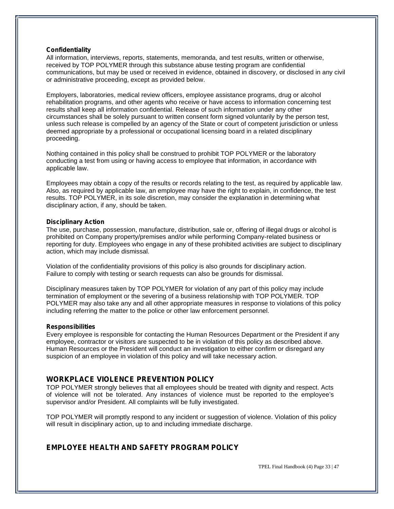### **Confidentiality**

All information, interviews, reports, statements, memoranda, and test results, written or otherwise, received by TOP POLYMER through this substance abuse testing program are confidential communications, but may be used or received in evidence, obtained in discovery, or disclosed in any civil or administrative proceeding, except as provided below.

Employers, laboratories, medical review officers, employee assistance programs, drug or alcohol rehabilitation programs, and other agents who receive or have access to information concerning test results shall keep all information confidential. Release of such information under any other circumstances shall be solely pursuant to written consent form signed voluntarily by the person test, unless such release is compelled by an agency of the State or court of competent jurisdiction or unless deemed appropriate by a professional or occupational licensing board in a related disciplinary proceeding.

Nothing contained in this policy shall be construed to prohibit TOP POLYMER or the laboratory conducting a test from using or having access to employee that information, in accordance with applicable law.

Employees may obtain a copy of the results or records relating to the test, as required by applicable law. Also, as required by applicable law, an employee may have the right to explain, in confidence, the test results. TOP POLYMER, in its sole discretion, may consider the explanation in determining what disciplinary action, if any, should be taken.

#### **Disciplinary Action**

The use, purchase, possession, manufacture, distribution, sale or, offering of illegal drugs or alcohol is prohibited on Company property/premises and/or while performing Company-related business or reporting for duty. Employees who engage in any of these prohibited activities are subject to disciplinary action, which may include dismissal.

Violation of the confidentiality provisions of this policy is also grounds for disciplinary action. Failure to comply with testing or search requests can also be grounds for dismissal.

Disciplinary measures taken by TOP POLYMER for violation of any part of this policy may include termination of employment or the severing of a business relationship with TOP POLYMER. TOP POLYMER may also take any and all other appropriate measures in response to violations of this policy including referring the matter to the police or other law enforcement personnel.

#### **Responsibilities**

Every employee is responsible for contacting the Human Resources Department or the President if any employee, contractor or visitors are suspected to be in violation of this policy as described above. Human Resources or the President will conduct an investigation to either confirm or disregard any suspicion of an employee in violation of this policy and will take necessary action.

### **WORKPLACE VIOLENCE PREVENTION POLICY**

TOP POLYMER strongly believes that all employees should be treated with dignity and respect. Acts of violence will not be tolerated. Any instances of violence must be reported to the employee's supervisor and/or President. All complaints will be fully investigated.

TOP POLYMER will promptly respond to any incident or suggestion of violence. Violation of this policy will result in disciplinary action, up to and including immediate discharge.

### **EMPLOYEE HEALTH AND SAFETY PROGRAM POLICY**

TPEL Final Handbook (4) Page 33 | 47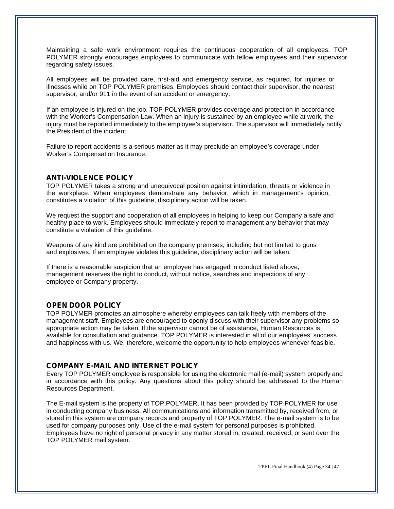Maintaining a safe work environment requires the continuous cooperation of all employees. TOP POLYMER strongly encourages employees to communicate with fellow employees and their supervisor regarding safety issues.

All employees will be provided care, first-aid and emergency service, as required, for injuries or illnesses while on TOP POLYMER premises. Employees should contact their supervisor, the nearest supervisor, and/or 911 in the event of an accident or emergency.

If an employee is injured on the job, TOP POLYMER provides coverage and protection in accordance with the Worker's Compensation Law. When an injury is sustained by an employee while at work, the injury must be reported immediately to the employee's supervisor. The supervisor will immediately notify the President of the incident.

Failure to report accidents is a serious matter as it may preclude an employee's coverage under Worker's Compensation Insurance.

### **ANTI-VIOLENCE POLICY**

TOP POLYMER takes a strong and unequivocal position against intimidation, threats or violence in the workplace. When employees demonstrate any behavior, which in management's opinion, constitutes a violation of this guideline, disciplinary action will be taken.

We request the support and cooperation of all employees in helping to keep our Company a safe and healthy place to work. Employees should immediately report to management any behavior that may constitute a violation of this guideline.

Weapons of any kind are prohibited on the company premises, including but not limited to guns and explosives. If an employee violates this guideline, disciplinary action will be taken.

If there is a reasonable suspicion that an employee has engaged in conduct listed above, management reserves the right to conduct, without notice, searches and inspections of any employee or Company property.

### **OPEN DOOR POLICY**

TOP POLYMER promotes an atmosphere whereby employees can talk freely with members of the management staff. Employees are encouraged to openly discuss with their supervisor any problems so appropriate action may be taken. If the supervisor cannot be of assistance, Human Resources is available for consultation and guidance. TOP POLYMER is interested in all of our employees' success and happiness with us. We, therefore, welcome the opportunity to help employees whenever feasible.

### **COMPANY E-MAIL AND INTERNET POLICY**

Every TOP POLYMER employee is responsible for using the electronic mail (e-mail) system properly and in accordance with this policy. Any questions about this policy should be addressed to the Human Resources Department.

The E-mail system is the property of TOP POLYMER. It has been provided by TOP POLYMER for use in conducting company business. All communications and information transmitted by, received from, or stored in this system are company records and property of TOP POLYMER. The e-mail system is to be used for company purposes only. Use of the e-mail system for personal purposes is prohibited. Employees have no right of personal privacy in any matter stored in, created, received, or sent over the TOP POLYMER mail system.

TPEL Final Handbook (4) Page 34 | 47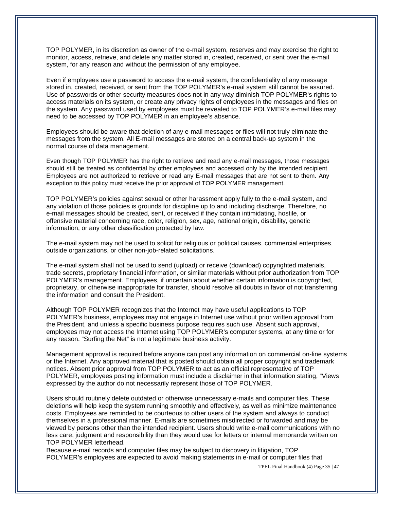TOP POLYMER, in its discretion as owner of the e-mail system, reserves and may exercise the right to monitor, access, retrieve, and delete any matter stored in, created, received, or sent over the e-mail system, for any reason and without the permission of any employee.

Even if employees use a password to access the e-mail system, the confidentiality of any message stored in, created, received, or sent from the TOP POLYMER's e-mail system still cannot be assured. Use of passwords or other security measures does not in any way diminish TOP POLYMER's rights to access materials on its system, or create any privacy rights of employees in the messages and files on the system. Any password used by employees must be revealed to TOP POLYMER's e-mail files may need to be accessed by TOP POLYMER in an employee's absence.

Employees should be aware that deletion of any e-mail messages or files will not truly eliminate the messages from the system. All E-mail messages are stored on a central back-up system in the normal course of data management.

Even though TOP POLYMER has the right to retrieve and read any e-mail messages, those messages should still be treated as confidential by other employees and accessed only by the intended recipient. Employees are not authorized to retrieve or read any E-mail messages that are not sent to them. Any exception to this policy must receive the prior approval of TOP POLYMER management.

TOP POLYMER's policies against sexual or other harassment apply fully to the e-mail system, and any violation of those policies is grounds for discipline up to and including discharge. Therefore, no e-mail messages should be created, sent, or received if they contain intimidating, hostile, or offensive material concerning race, color, religion, sex, age, national origin, disability, genetic information, or any other classification protected by law.

The e-mail system may not be used to solicit for religious or political causes, commercial enterprises, outside organizations, or other non-job-related solicitations.

The e-mail system shall not be used to send (upload) or receive (download) copyrighted materials, trade secrets, proprietary financial information, or similar materials without prior authorization from TOP POLYMER's management. Employees, if uncertain about whether certain information is copyrighted, proprietary, or otherwise inappropriate for transfer, should resolve all doubts in favor of not transferring the information and consult the President.

Although TOP POLYMER recognizes that the Internet may have useful applications to TOP POLYMER's business, employees may not engage in Internet use without prior written approval from the President, and unless a specific business purpose requires such use. Absent such approval, employees may not access the Internet using TOP POLYMER's computer systems, at any time or for any reason. "Surfing the Net" is not a legitimate business activity.

Management approval is required before anyone can post any information on commercial on-line systems or the Internet. Any approved material that is posted should obtain all proper copyright and trademark notices. Absent prior approval from TOP POLYMER to act as an official representative of TOP POLYMER, employees posting information must include a disclaimer in that information stating, "Views expressed by the author do not necessarily represent those of TOP POLYMER.

Users should routinely delete outdated or otherwise unnecessary e-mails and computer files. These deletions will help keep the system running smoothly and effectively, as well as minimize maintenance costs. Employees are reminded to be courteous to other users of the system and always to conduct themselves in a professional manner. E-mails are sometimes misdirected or forwarded and may be viewed by persons other than the intended recipient. Users should write e-mail communications with no less care, judgment and responsibility than they would use for letters or internal memoranda written on TOP POLYMER letterhead.

Because e-mail records and computer files may be subject to discovery in litigation, TOP POLYMER's employees are expected to avoid making statements in e-mail or computer files that

TPEL Final Handbook (4) Page 35 | 47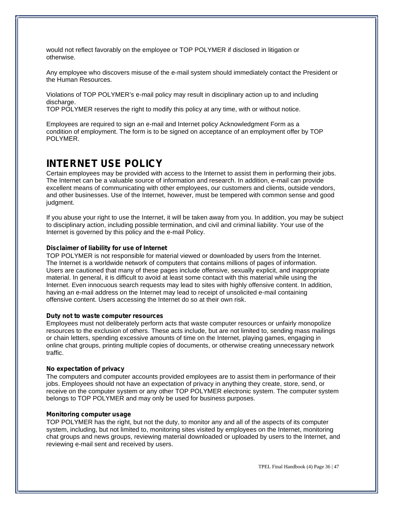would not reflect favorably on the employee or TOP POLYMER if disclosed in litigation or otherwise.

Any employee who discovers misuse of the e-mail system should immediately contact the President or the Human Resources.

Violations of TOP POLYMER's e-mail policy may result in disciplinary action up to and including discharge.

TOP POLYMER reserves the right to modify this policy at any time, with or without notice.

Employees are required to sign an e-mail and Internet policy Acknowledgment Form as a condition of employment. The form is to be signed on acceptance of an employment offer by TOP POLYMER.

### **INTERNET USE POLICY**

Certain employees may be provided with access to the Internet to assist them in performing their jobs. The Internet can be a valuable source of information and research. In addition, e-mail can provide excellent means of communicating with other employees, our customers and clients, outside vendors, and other businesses. Use of the Internet, however, must be tempered with common sense and good judgment.

If you abuse your right to use the Internet, it will be taken away from you. In addition, you may be subject to disciplinary action, including possible termination, and civil and criminal liability. Your use of the Internet is governed by this policy and the e-mail Policy.

### **Disclaimer of liability for use of Internet**

TOP POLYMER is not responsible for material viewed or downloaded by users from the Internet. The Internet is a worldwide network of computers that contains millions of pages of information. Users are cautioned that many of these pages include offensive, sexually explicit, and inappropriate material. In general, it is difficult to avoid at least some contact with this material while using the Internet. Even innocuous search requests may lead to sites with highly offensive content. In addition, having an e-mail address on the Internet may lead to receipt of unsolicited e-mail containing offensive content. Users accessing the Internet do so at their own risk.

### **Duty not to waste computer resources**

Employees must not deliberately perform acts that waste computer resources or unfairly monopolize resources to the exclusion of others. These acts include, but are not limited to, sending mass mailings or chain letters, spending excessive amounts of time on the Internet, playing games, engaging in online chat groups, printing multiple copies of documents, or otherwise creating unnecessary network traffic.

### **No expectation of privacy**

The computers and computer accounts provided employees are to assist them in performance of their jobs. Employees should not have an expectation of privacy in anything they create, store, send, or receive on the computer system or any other TOP POLYMER electronic system. The computer system belongs to TOP POLYMER and may only be used for business purposes.

### **Monitoring computer usage**

TOP POLYMER has the right, but not the duty, to monitor any and all of the aspects of its computer system, including, but not limited to, monitoring sites visited by employees on the Internet, monitoring chat groups and news groups, reviewing material downloaded or uploaded by users to the Internet, and reviewing e-mail sent and received by users.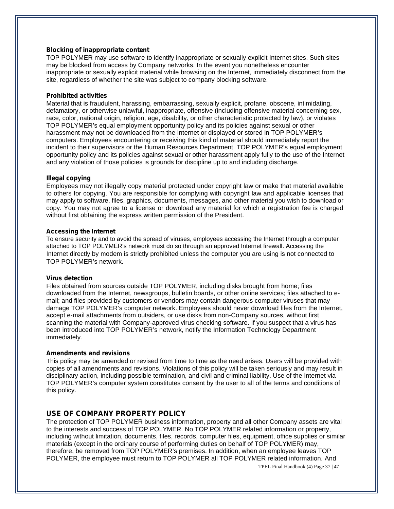### **Blocking of inappropriate content**

TOP POLYMER may use software to identify inappropriate or sexually explicit Internet sites. Such sites may be blocked from access by Company networks. In the event you nonetheless encounter inappropriate or sexually explicit material while browsing on the Internet, immediately disconnect from the site, regardless of whether the site was subject to company blocking software.

### **Prohibited activities**

Material that is fraudulent, harassing, embarrassing, sexually explicit, profane, obscene, intimidating, defamatory, or otherwise unlawful, inappropriate, offensive (including offensive material concerning sex, race, color, national origin, religion, age, disability, or other characteristic protected by law), or violates TOP POLYMER's equal employment opportunity policy and its policies against sexual or other harassment may not be downloaded from the Internet or displayed or stored in TOP POLYMER's computers. Employees encountering or receiving this kind of material should immediately report the incident to their supervisors or the Human Resources Department. TOP POLYMER's equal employment opportunity policy and its policies against sexual or other harassment apply fully to the use of the Internet and any violation of those policies is grounds for discipline up to and including discharge.

### **Illegal copying**

Employees may not illegally copy material protected under copyright law or make that material available to others for copying. You are responsible for complying with copyright law and applicable licenses that may apply to software, files, graphics, documents, messages, and other material you wish to download or copy. You may not agree to a license or download any material for which a registration fee is charged without first obtaining the express written permission of the President.

#### **Accessing the Internet**

To ensure security and to avoid the spread of viruses, employees accessing the Internet through a computer attached to TOP POLYMER's network must do so through an approved Internet firewall. Accessing the Internet directly by modem is strictly prohibited unless the computer you are using is not connected to TOP POLYMER's network.

#### **Virus detection**

Files obtained from sources outside TOP POLYMER, including disks brought from home; files downloaded from the Internet, newsgroups, bulletin boards, or other online services; files attached to e mail; and files provided by customers or vendors may contain dangerous computer viruses that may damage TOP POLYMER's computer network. Employees should never download files from the Internet, accept e-mail attachments from outsiders, or use disks from non-Company sources, without first scanning the material with Company-approved virus checking software. If you suspect that a virus has been introduced into TOP POLYMER's network, notify the Information Technology Department immediately.

#### **Amendments and revisions**

This policy may be amended or revised from time to time as the need arises. Users will be provided with copies of all amendments and revisions. Violations of this policy will be taken seriously and may result in disciplinary action, including possible termination, and civil and criminal liability. Use of the Internet via TOP POLYMER's computer system constitutes consent by the user to all of the terms and conditions of this policy.

### **USE OF COMPANY PROPERTY POLICY**

The protection of TOP POLYMER business information, property and all other Company assets are vital to the interests and success of TOP POLYMER. No TOP POLYMER related information or property, including without limitation, documents, files, records, computer files, equipment, office supplies or similar materials (except in the ordinary course of performing duties on behalf of TOP POLYMER) may, therefore, be removed from TOP POLYMER's premises. In addition, when an employee leaves TOP POLYMER, the employee must return to TOP POLYMER all TOP POLYMER related information. And

TPEL Final Handbook (4) Page 37 | 47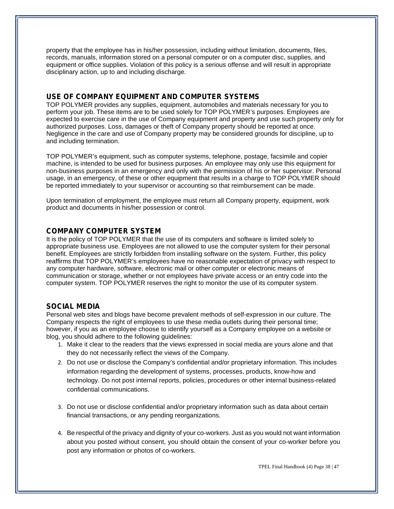property that the employee has in his/her possession, including without limitation, documents, files, records, manuals, information stored on a personal computer or on a computer disc, supplies, and equipment or office supplies. Violation of this policy is a serious offense and will result in appropriate disciplinary action, up to and including discharge.

### **USE OF COMPANY EQUIPMENT AND COMPUTER SYSTEMS**

TOP POLYMER provides any supplies, equipment, automobiles and materials necessary for you to perform your job. These items are to be used solely for TOP POLYMER's purposes. Employees are expected to exercise care in the use of Company equipment and property and use such property only for authorized purposes. Loss, damages or theft of Company property should be reported at once. Negligence in the care and use of Company property may be considered grounds for discipline, up to and including termination.

TOP POLYMER's equipment, such as computer systems, telephone, postage, facsimile and copier machine, is intended to be used for business purposes. An employee may only use this equipment for non-business purposes in an emergency and only with the permission of his or her supervisor. Personal usage, in an emergency, of these or other equipment that results in a charge to TOP POLYMER should be reported immediately to your supervisor or accounting so that reimbursement can be made.

Upon termination of employment, the employee must return all Company property, equipment, work product and documents in his/her possession or control.

### **COMPANY COMPUTER SYSTEM**

It is the policy of TOP POLYMER that the use of its computers and software is limited solely to appropriate business use. Employees are not allowed to use the computer system for their personal benefit. Employees are strictly forbidden from installing software on the system. Further, this policy reaffirms that TOP POLYMER's employees have no reasonable expectation of privacy with respect to any computer hardware, software, electronic mail or other computer or electronic means of communication or storage, whether or not employees have private access or an entry code into the computer system. TOP POLYMER reserves the right to monitor the use of its computer system.

### **SOCIAL MEDIA**

Personal web sites and blogs have become prevalent methods of self-expression in our culture. The Company respects the right of employees to use these media outlets during their personal time; however, if you as an employee choose to identify yourself as a Company employee on a website or blog, you should adhere to the following guidelines:

- 1. Make it clear to the readers that the views expressed in social media are yours alone and that they do not necessarily reflect the views of the Company.
- 2. Do not use or disclose the Company's confidential and/or proprietary information. This includes information regarding the development of systems, processes, products, know-how and technology. Do not post internal reports, policies, procedures or other internal business-related confidential communications.
- 3. Do not use or disclose confidential and/or proprietary information such as data about certain financial transactions, or any pending reorganizations.
- 4. Be respectful of the privacy and dignity of your co-workers. Just as you would not want information about you posted without consent, you should obtain the consent of your co-worker before you post any information or photos of co-workers.

TPEL Final Handbook (4) Page 38 | 47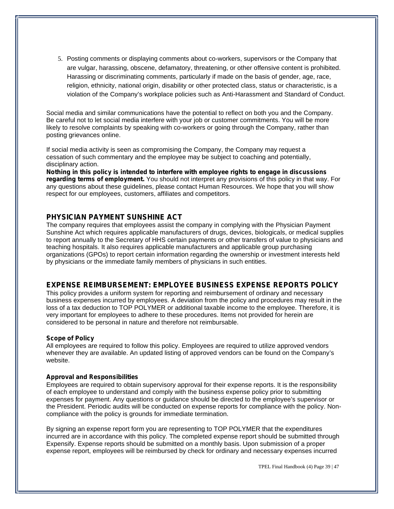5. Posting comments or displaying comments about co-workers, supervisors or the Company that are vulgar, harassing, obscene, defamatory, threatening, or other offensive content is prohibited. Harassing or discriminating comments, particularly if made on the basis of gender, age, race, religion, ethnicity, national origin, disability or other protected class, status or characteristic, is a violation of the Company's workplace policies such as Anti-Harassment and Standard of Conduct.

Social media and similar communications have the potential to reflect on both you and the Company. Be careful not to let social media interfere with your job or customer commitments. You will be more likely to resolve complaints by speaking with co-workers or going through the Company, rather than posting grievances online.

If social media activity is seen as compromising the Company, the Company may request a cessation of such commentary and the employee may be subject to coaching and potentially, disciplinary action.

**Nothing in this policy is intended to interfere with employee rights to engage in discussions regarding terms of employment.** You should not interpret any provisions of this policy in that way. For any questions about these guidelines, please contact Human Resources. We hope that you will show respect for our employees, customers, affiliates and competitors.

### **PHYSICIAN PAYMENT SUNSHINE ACT**

The company requires that employees assist the company in complying with the Physician Payment Sunshine Act which requires applicable manufacturers of drugs, devices, biologicals, or medical supplies to report annually to the Secretary of HHS certain payments or other transfers of value to physicians and teaching hospitals. It also requires applicable manufacturers and applicable group purchasing organizations (GPOs) to report certain information regarding the ownership or investment interests held by physicians or the immediate family members of physicians in such entities.

### **EXPENSE REIMBURSEMENT: EMPLOYEE BUSINESS EXPENSE REPORTS POLICY**

This policy provides a uniform system for reporting and reimbursement of ordinary and necessary business expenses incurred by employees. A deviation from the policy and procedures may result in the loss of a tax deduction to TOP POLYMER or additional taxable income to the employee. Therefore, it is very important for employees to adhere to these procedures. Items not provided for herein are considered to be personal in nature and therefore not reimbursable.

#### **Scope of Policy**

All employees are required to follow this policy. Employees are required to utilize approved vendors whenever they are available. An updated listing of approved vendors can be found on the Company's website.

### **Approval and Responsibilities**

Employees are required to obtain supervisory approval for their expense reports. It is the responsibility of each employee to understand and comply with the business expense policy prior to submitting expenses for payment. Any questions or guidance should be directed to the employee's supervisor or the President. Periodic audits will be conducted on expense reports for compliance with the policy. Non compliance with the policy is grounds for immediate termination.

By signing an expense report form you are representing to TOP POLYMER that the expenditures incurred are in accordance with this policy. The completed expense report should be submitted through Expensify. Expense reports should be submitted on a monthly basis. Upon submission of a proper expense report, employees will be reimbursed by check for ordinary and necessary expenses incurred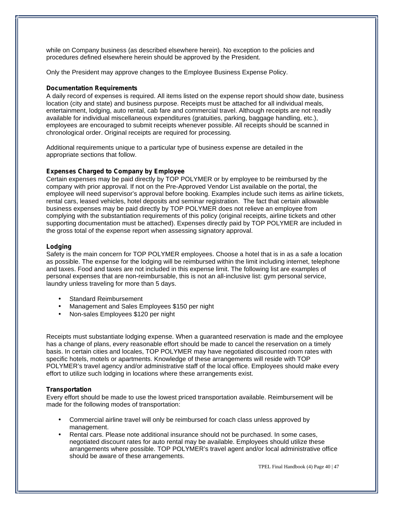while on Company business (as described elsewhere herein). No exception to the policies and procedures defined elsewhere herein should be approved by the President.

Only the President may approve changes to the Employee Business Expense Policy.

### **Documentation Requirements**

A daily record of expenses is required. All items listed on the expense report should show date, business location (city and state) and business purpose. Receipts must be attached for all individual meals, entertainment, lodging, auto rental, cab fare and commercial travel. Although receipts are not readily available for individual miscellaneous expenditures (gratuities, parking, baggage handling, etc.), employees are encouraged to submit receipts whenever possible. All receipts should be scanned in chronological order. Original receipts are required for processing.

Additional requirements unique to a particular type of business expense are detailed in the appropriate sections that follow.

### **Expenses Charged to Company by Employee**

Certain expenses may be paid directly by TOP POLYMER or by employee to be reimbursed by the company with prior approval. If not on the Pre-Approved Vendor List available on the portal, the employee will need supervisor's approval before booking. Examples include such items as airline tickets, rental cars, leased vehicles, hotel deposits and seminar registration. The fact that certain allowable business expenses may be paid directly by TOP POLYMER does not relieve an employee from complying with the substantiation requirements of this policy (original receipts, airline tickets and other supporting documentation must be attached). Expenses directly paid by TOP POLYMER are included in the gross total of the expense report when assessing signatory approval.

#### **Lodging**

Safety is the main concern for TOP POLYMER employees. Choose a hotel that is in as a safe a location as possible. The expense for the lodging will be reimbursed within the limit including internet, telephone and taxes. Food and taxes are not included in this expense limit. The following list are examples of personal expenses that are non-reimbursable, this is not an all-inclusive list: gym personal service, laundry unless traveling for more than 5 days.

- Standard Reimbursement  $\vert \hspace{.8cm} \rangle$ 
	- Management and Sales Employees \$150 per night

Non-sales Employees \$120 per night

Receipts must substantiate lodging expense. When a guaranteed reservation is made and the employee has a change of plans, every reasonable effort should be made to cancel the reservation on a timely basis. In certain cities and locales, TOP POLYMER may have negotiated discounted room rates with specific hotels, motels or apartments. Knowledge of these arrangements will reside with TOP POLYMER's travel agency and/or administrative staff of the local office. Employees should make every effort to utilize such lodging in locations where these arrangements exist.

#### **Transportation**

Every effort should be made to use the lowest priced transportation available. Reimbursement will be made for the following modes of transportation:

- Commercial airline travel will only be reimbursed for coach class unless approved by management.
- Rental cars. Please note additional insurance should not be purchased. In some cases, negotiated discount rates for auto rental may be available. Employees should utilize these arrangements where possible. TOP POLYMER's travel agent and/or local administrative office should be aware of these arrangements.

TPEL Final Handbook (4) Page 40 | 47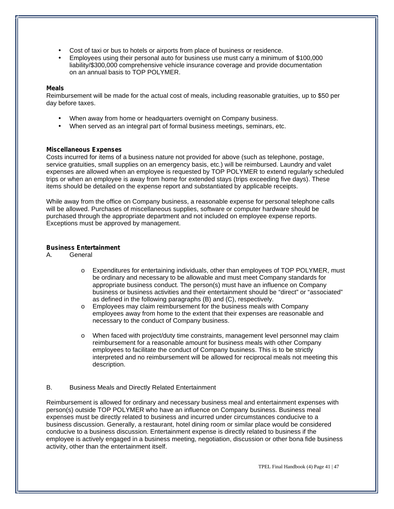- Cost of taxi or bus to hotels or airports from place of business or residence.
- Employees using their personal auto for business use must carry a minimum of \$100,000 liability/\$300,000 comprehensive vehicle insurance coverage and provide documentation on an annual basis to TOP POLYMER.

### **Meals**

Reimbursement will be made for the actual cost of meals, including reasonable gratuities, up to \$50 per day before taxes.

- When away from home or headquarters overnight on Company business.
- When served as an integral part of formal business meetings, seminars, etc.

### **Miscellaneous Expenses**

Costs incurred for items of a business nature not provided for above (such as telephone, postage, service gratuities, small supplies on an emergency basis, etc.) will be reimbursed. Laundry and valet expenses are allowed when an employee is requested by TOP POLYMER to extend regularly scheduled trips or when an employee is away from home for extended stays (trips exceeding five days). These items should be detailed on the expense report and substantiated by applicable receipts.

While away from the office on Company business, a reasonable expense for personal telephone calls will be allowed. Purchases of miscellaneous supplies, software or computer hardware should be purchased through the appropriate department and not included on employee expense reports. Exceptions must be approved by management.

### **Business Entertainment**

- A. General
	- o Expenditures for entertaining individuals, other than employees of TOP POLYMER, must be ordinary and necessary to be allowable and must meet Company standards for appropriate business conduct. The person(s) must have an influence on Company business or business activities and their entertainment should be "direct" or "associated" as defined in the following paragraphs (B) and (C), respectively.
	- o Employees may claim reimbursement for the business meals with Company employees away from home to the extent that their expenses are reasonable and necessary to the conduct of Company business.
	- $\mathbb{R}^n$ o When faced with project/duty time constraints, management level personnel may claim reimbursement for a reasonable amount for business meals with other Company employees to facilitate the conduct of Company business. This is to be strictly interpreted and no reimbursement will be allowed for reciprocal meals not meeting this description.
	-

 $\mathbb{R}^n$ 

 $\mathbb{R}^n$ B. Business Meals and Directly Related Entertainment

Reimbursement is allowed for ordinary and necessary business meal and entertainment expenses with person(s) outside TOP POLYMER who have an influence on Company business. Business meal expenses must be directly related to business and incurred under circumstances conducive to a business discussion. Generally, a restaurant, hotel dining room or similar place would be considered conducive to a business discussion. Entertainment expense is directly related to business if the employee is actively engaged in a business meeting, negotiation, discussion or other bona fide business activity, other than the entertainment itself.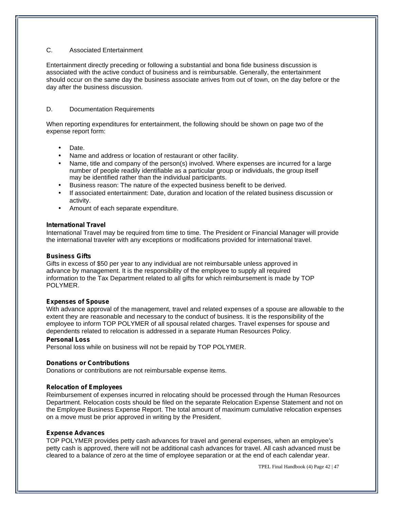### C. Associated Entertainment

Entertainment directly preceding or following a substantial and bona fide business discussion is associated with the active conduct of business and is reimbursable. Generally, the entertainment should occur on the same day the business associate arrives from out of town, on the day before or the day after the business discussion.

### D. Documentation Requirements

When reporting expenditures for entertainment, the following should be shown on page two of the expense report form:

- Date.
- Name and address or location of restaurant or other facility.
- Name, title and company of the person(s) involved. Where expenses are incurred for a large number of people readily identifiable as a particular group or individuals, the group itself may be identified rather than the individual participants.
- Business reason: The nature of the expected business benefit to be derived.
- If associated entertainment: Date, duration and location of the related business discussion or activity.
- Amount of each separate expenditure.

#### **International Travel**

International Travel may be required from time to time. The President or Financial Manager will provide the international traveler with any exceptions or modifications provided for international travel.

#### **Business Gifts**

Gifts in excess of \$50 per year to any individual are not reimbursable unless approved in advance by management. It is the responsibility of the employee to supply all required information to the Tax Department related to all gifts for which reimbursement is made by TOP POLYMER.

#### **Expenses of Spouse**

With advance approval of the management, travel and related expenses of a spouse are allowable to the extent they are reasonable and necessary to the conduct of business. It is the responsibility of the employee to inform TOP POLYMER of all spousal related charges. Travel expenses for spouse and dependents related to relocation is addressed in a separate Human Resources Policy.

### **Personal Loss**

Personal loss while on business will not be repaid by TOP POLYMER.

#### **Donations or Contributions**

Donations or contributions are not reimbursable expense items.

#### **Relocation of Employees**

Reimbursement of expenses incurred in relocating should be processed through the Human Resources Department. Relocation costs should be filed on the separate Relocation Expense Statement and not on the Employee Business Expense Report. The total amount of maximum cumulative relocation expenses on a move must be prior approved in writing by the President.

#### **Expense Advances**

TOP POLYMER provides petty cash advances for travel and general expenses, when an employee's petty cash is approved, there will not be additional cash advances for travel. All cash advanced must be cleared to a balance of zero at the time of employee separation or at the end of each calendar year.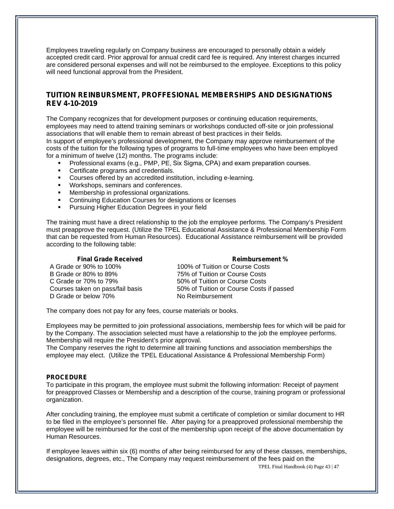Employees traveling regularly on Company business are encouraged to personally obtain a widely accepted credit card. Prior approval for annual credit card fee is required. Any interest charges incurred are considered personal expenses and will not be reimbursed to the employee. Exceptions to this policy will need functional approval from the President.

### **TUITION REINBURSMENT, PROFFESIONAL MEMBERSHIPS AND DESIGNATIONS REV 4-10-2019**

The Company recognizes that for development purposes or continuing education requirements, employees may need to attend training seminars or workshops conducted off-site or join professional associations that will enable them to remain abreast of best practices in their fields.

In support of employee's professional development, the Company may approve reimbursement of the costs of the tuition for the following types of programs to full-time employees who have been employed for a minimum of twelve (12) months. The programs include:

- Professional exams (e.g., PMP, PE, Six Sigma, CPA) and exam preparation courses.<br>■ Certificate programs and credentials
- Certificate programs and credentials.
- Courses offered by an accredited institution, including e-learning.
- Workshops, seminars and conferences.
- **Membership in professional organizations.**
- **EXECONTER FIGULER** Courses for designations or licenses
- **Pursuing Higher Education Degrees in your field**

The training must have a direct relationship to the job the employee performs. The Company's President must preapprove the request. (Utilize the TPEL Educational Assistance & Professional Membership Form that can be requested from Human Resources). Educational Assistance reimbursement will be provided according to the following table:

#### **Final Grade Received Reimbursement %**

B Grade or 80% to 89% 75% of Tuition or Course Costs C Grade or 70% to 79% 600 50% of Tuition or Course Costs D Grade or below 70% No Reimbursement

A Grade or 90% to 100% 100% of Tuition or Course Costs Courses taken on pass/fail basis 50% of Tuition or Course Costs if passed

The company does not pay for any fees, course materials or books.

Employees may be permitted to join professional associations, membership fees for which will be paid for by the Company. The association selected must have a relationship to the job the employee performs. Membership will require the President's prior approval.

The Company reserves the right to determine all training functions and association memberships the employee may elect. (Utilize the TPEL Educational Assistance & Professional Membership Form)

#### **PROCEDURE**

To participate in this program, the employee must submit the following information: Receipt of payment for preapproved Classes or Membership and a description of the course, training program or professional organization.

After concluding training, the employee must submit a certificate of completion or similar document to HR to be filed in the employee's personnel file. After paying for a preapproved professional membership the employee will be reimbursed for the cost of the membership upon receipt of the above documentation by Human Resources.

If employee leaves within six (6) months of after being reimbursed for any of these classes, memberships, designations, degrees, etc., The Company may request reimbursement of the fees paid on the

TPEL Final Handbook (4) Page 43 | 47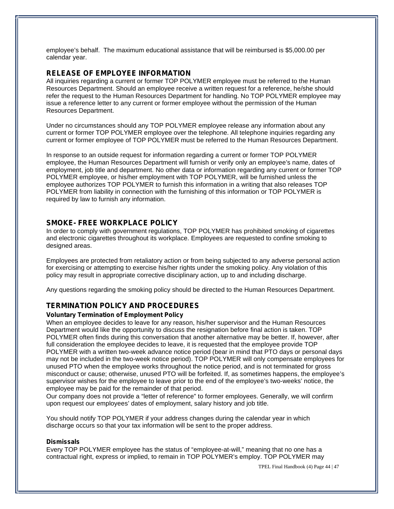employee's behalf. The maximum educational assistance that will be reimbursed is \$5,000.00 per calendar year.

### **RELEASE OF EMPLOYEE INFORMATION**

All inquiries regarding a current or former TOP POLYMER employee must be referred to the Human Resources Department. Should an employee receive a written request for a reference, he/she should refer the request to the Human Resources Department for handling. No TOP POLYMER employee may issue a reference letter to any current or former employee without the permission of the Human Resources Department.

Under no circumstances should any TOP POLYMER employee release any information about any current or former TOP POLYMER employee over the telephone. All telephone inquiries regarding any current or former employee of TOP POLYMER must be referred to the Human Resources Department.

In response to an outside request for information regarding a current or former TOP POLYMER employee, the Human Resources Department will furnish or verify only an employee's name, dates of employment, job title and department. No other data or information regarding any current or former TOP POLYMER employee, or his/her employment with TOP POLYMER, will be furnished unless the employee authorizes TOP POLYMER to furnish this information in a writing that also releases TOP POLYMER from liability in connection with the furnishing of this information or TOP POLYMER is required by law to furnish any information.

### **SMOKE- FREE WORKPLACE POLICY**

In order to comply with government regulations, TOP POLYMER has prohibited smoking of cigarettes and electronic cigarettes throughout its workplace. Employees are requested to confine smoking to designed areas.

Employees are protected from retaliatory action or from being subjected to any adverse personal action for exercising or attempting to exercise his/her rights under the smoking policy. Any violation of this policy may result in appropriate corrective disciplinary action, up to and including discharge.

Any questions regarding the smoking policy should be directed to the Human Resources Department.

### **TERMINATION POLICY AND PROCEDURES**

### **Voluntary Termination of Employment Policy**

When an employee decides to leave for any reason, his/her supervisor and the Human Resources Department would like the opportunity to discuss the resignation before final action is taken. TOP POLYMER often finds during this conversation that another alternative may be better. If, however, after full consideration the employee decides to leave, it is requested that the employee provide TOP POLYMER with a written two-week advance notice period (bear in mind that PTO days or personal days may not be included in the two-week notice period). TOP POLYMER will only compensate employees for unused PTO when the employee works throughout the notice period, and is not terminated for gross misconduct or cause; otherwise, unused PTO will be forfeited. If, as sometimes happens, the employee's supervisor wishes for the employee to leave prior to the end of the employee's two-weeks' notice, the employee may be paid for the remainder of that period.

Our company does not provide a "letter of reference" to former employees. Generally, we will confirm upon request our employees' dates of employment, salary history and job title.

You should notify TOP POLYMER if your address changes during the calendar year in which discharge occurs so that your tax information will be sent to the proper address.

### **Dismissals**

Every TOP POLYMER employee has the status of "employee-at-will," meaning that no one has a contractual right, express or implied, to remain in TOP POLYMER's employ. TOP POLYMER may

TPEL Final Handbook (4) Page 44 | 47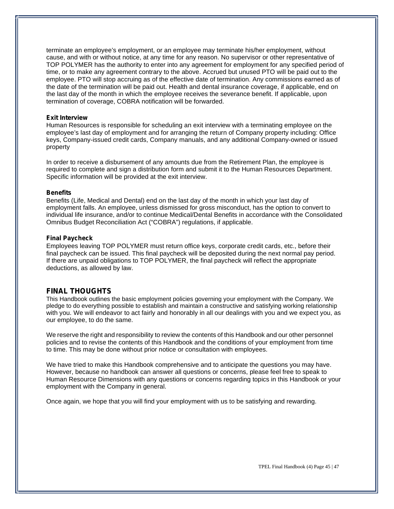terminate an employee's employment, or an employee may terminate his/her employment, without cause, and with or without notice, at any time for any reason. No supervisor or other representative of TOP POLYMER has the authority to enter into any agreement for employment for any specified period of time, or to make any agreement contrary to the above. Accrued but unused PTO will be paid out to the employee. PTO will stop accruing as of the effective date of termination. Any commissions earned as of the date of the termination will be paid out. Health and dental insurance coverage, if applicable, end on the last day of the month in which the employee receives the severance benefit. If applicable, upon termination of coverage, COBRA notification will be forwarded.

#### **Exit Interview**

Human Resources is responsible for scheduling an exit interview with a terminating employee on the employee's last day of employment and for arranging the return of Company property including: Office keys, Company-issued credit cards, Company manuals, and any additional Company-owned or issued property

In order to receive a disbursement of any amounts due from the Retirement Plan, the employee is required to complete and sign a distribution form and submit it to the Human Resources Department. Specific information will be provided at the exit interview.

#### **Benefits**

Benefits (Life, Medical and Dental) end on the last day of the month in which your last day of employment falls. An employee, unless dismissed for gross misconduct, has the option to convert to individual life insurance, and/or to continue Medical/Dental Benefits in accordance with the Consolidated Omnibus Budget Reconciliation Act ("COBRA") regulations, if applicable.

#### **Final Paycheck**

Employees leaving TOP POLYMER must return office keys, corporate credit cards, etc., before their final paycheck can be issued. This final paycheck will be deposited during the next normal pay period. If there are unpaid obligations to TOP POLYMER, the final paycheck will reflect the appropriate deductions, as allowed by law.

### **FINAL THOUGHTS**

This Handbook outlines the basic employment policies governing your employment with the Company. We pledge to do everything possible to establish and maintain a constructive and satisfying working relationship with you. We will endeavor to act fairly and honorably in all our dealings with you and we expect you, as our employee, to do the same.

We reserve the right and responsibility to review the contents of this Handbook and our other personnel policies and to revise the contents of this Handbook and the conditions of your employment from time to time. This may be done without prior notice or consultation with employees.

We have tried to make this Handbook comprehensive and to anticipate the questions you may have. However, because no handbook can answer all questions or concerns, please feel free to speak to Human Resource Dimensions with any questions or concerns regarding topics in this Handbook or your employment with the Company in general.

Once again, we hope that you will find your employment with us to be satisfying and rewarding.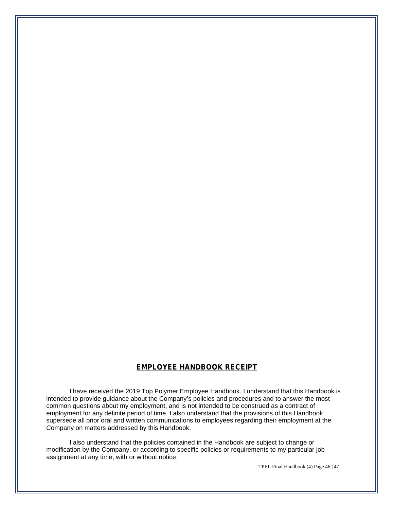### **EMPLOYEE HANDBOOK RECEIPT**

I have received the 2019 Top Polymer Employee Handbook. I understand that this Handbook is intended to provide guidance about the Company's policies and procedures and to answer the most common questions about my employment, and is not intended to be construed as a contract of employment for any definite period of time. I also understand that the provisions of this Handbook supersede all prior oral and written communications to employees regarding their employment at the Company on matters addressed by this Handbook.

I also understand that the policies contained in the Handbook are subject to change or modification by the Company, or according to specific policies or requirements to my particular job assignment at any time, with or without notice.

TPEL Final Handbook (4) Page 46 | 47